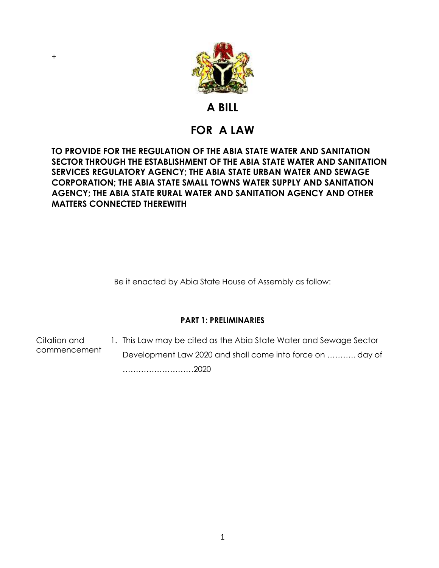

# **A BILL**

# **FOR A LAW**

# **TO PROVIDE FOR THE REGULATION OF THE ABIA STATE WATER AND SANITATION SECTOR THROUGH THE ESTABLISHMENT OF THE ABIA STATE WATER AND SANITATION SERVICES REGULATORY AGENCY; THE ABIA STATE URBAN WATER AND SEWAGE CORPORATION; THE ABIA STATE SMALL TOWNS WATER SUPPLY AND SANITATION AGENCY; THE ABIA STATE RURAL WATER AND SANITATION AGENCY AND OTHER MATTERS CONNECTED THEREWITH**

Be it enacted by Abia State House of Assembly as follow:

# **PART 1: PRELIMINARIES**

Citation and commencement 1. This Law may be cited as the Abia State Water and Sewage Sector Development Law 2020 and shall come into force on ……….. day of ………………………2020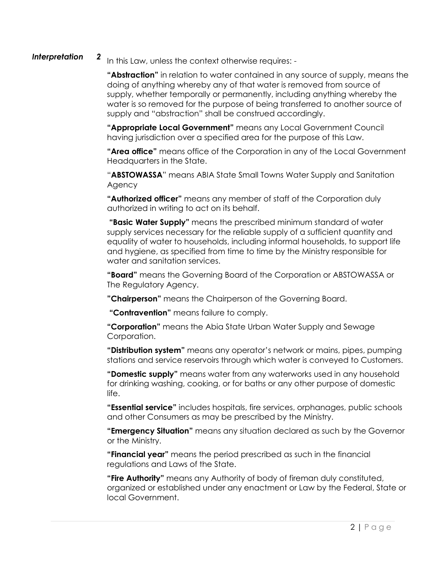### *Interpretation 2*

In this Law, unless the context otherwise requires: -

**"Abstraction"** in relation to water contained in any source of supply, means the doing of anything whereby any of that water is removed from source of supply, whether temporally or permanently, including anything whereby the water is so removed for the purpose of being transferred to another source of supply and "abstraction" shall be construed accordingly.

**"Appropriate Local Government"** means any Local Government Council having jurisdiction over a specified area for the purpose of this Law.

**"Area office"** means office of the Corporation in any of the Local Government Headquarters in the State.

"**ABSTOWASSA**" means ABIA State Small Towns Water Supply and Sanitation Agency

**"Authorized officer"** means any member of staff of the Corporation duly authorized in writing to act on its behalf.

**"Basic Water Supply"** means the prescribed minimum standard of water supply services necessary for the reliable supply of a sufficient quantity and equality of water to households, including informal households, to support life and hygiene, as specified from time to time by the Ministry responsible for water and sanitation services.

**"Board"** means the Governing Board of the Corporation or ABSTOWASSA or The Regulatory Agency.

**"Chairperson"** means the Chairperson of the Governing Board.

**"Contravention"** means failure to comply.

**"Corporation"** means the Abia State Urban Water Supply and Sewage Corporation.

**"Distribution system"** means any operator's network or mains, pipes, pumping stations and service reservoirs through which water is conveyed to Customers.

**"Domestic supply"** means water from any waterworks used in any household for drinking washing, cooking, or for baths or any other purpose of domestic life.

**"Essential service"** includes hospitals, fire services, orphanages, public schools and other Consumers as may be prescribed by the Ministry.

**"Emergency Situation"** means any situation declared as such by the Governor or the Ministry.

**"Financial year"** means the period prescribed as such in the financial regulations and Laws of the State.

**"Fire Authority"** means any Authority of body of fireman duly constituted, organized or established under any enactment or Law by the Federal, State or local Government.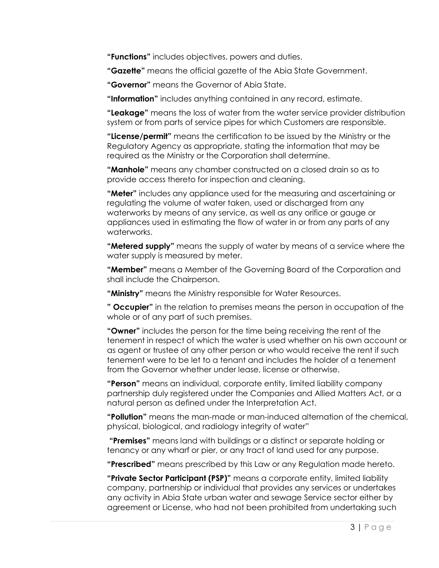**"Functions"** includes objectives, powers and duties.

**"Gazette"** means the official gazette of the Abia State Government.

**"Governor"** means the Governor of Abia State.

**"Information"** includes anything contained in any record, estimate.

**"Leakage"** means the loss of water from the water service provider distribution system or from parts of service pipes for which Customers are responsible.

**"License/permit"** means the certification to be issued by the Ministry or the Regulatory Agency as appropriate, stating the information that may be required as the Ministry or the Corporation shall determine.

**"Manhole"** means any chamber constructed on a closed drain so as to provide access thereto for inspection and cleaning.

**"Meter"** includes any appliance used for the measuring and ascertaining or regulating the volume of water taken, used or discharged from any waterworks by means of any service, as well as any orifice or gauge or appliances used in estimating the flow of water in or from any parts of any waterworks.

**"Metered supply"** means the supply of water by means of a service where the water supply is measured by meter.

**"Member"** means a Member of the Governing Board of the Corporation and shall include the Chairperson.

**"Ministry"** means the Ministry responsible for Water Resources.

**" Occupier"** in the relation to premises means the person in occupation of the whole or of any part of such premises.

**"Owner"** includes the person for the time being receiving the rent of the tenement in respect of which the water is used whether on his own account or as agent or trustee of any other person or who would receive the rent if such tenement were to be let to a tenant and includes the holder of a tenement from the Governor whether under lease, license or otherwise.

**"Person"** means an individual, corporate entity, limited liability company partnership duly registered under the Companies and Allied Matters Act, or a natural person as defined under the Interpretation Act.

**"Pollution"** means the man-made or man-induced alternation of the chemical, physical, biological, and radiology integrity of water"

**"Premises"** means land with buildings or a distinct or separate holding or tenancy or any wharf or pier, or any tract of land used for any purpose.

**"Prescribed"** means prescribed by this Law or any Regulation made hereto.

**"Private Sector Participant (PSP)"** means a corporate entity, limited liability company, partnership or individual that provides any services or undertakes any activity in Abia State urban water and sewage Service sector either by agreement or License, who had not been prohibited from undertaking such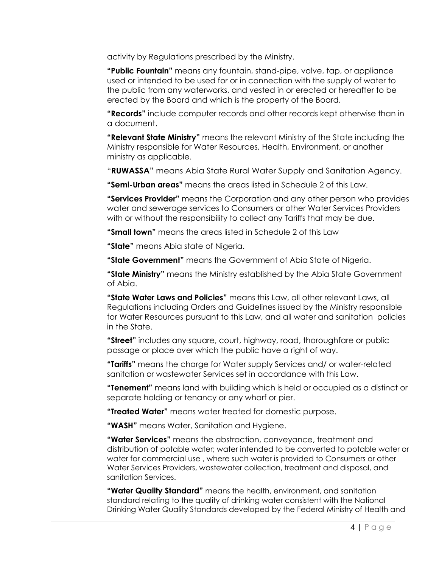activity by Regulations prescribed by the Ministry.

**"Public Fountain"** means any fountain, stand-pipe, valve, tap, or appliance used or intended to be used for or in connection with the supply of water to the public from any waterworks, and vested in or erected or hereafter to be erected by the Board and which is the property of the Board.

**"Records"** include computer records and other records kept otherwise than in a document.

**"Relevant State Ministry"** means the relevant Ministry of the State including the Ministry responsible for Water Resources, Health, Environment, or another ministry as applicable.

"**RUWASSA**" means Abia State Rural Water Supply and Sanitation Agency.

**"Semi-Urban areas"** means the areas listed in Schedule 2 of this Law.

**"Services Provider"** means the Corporation and any other person who provides water and sewerage services to Consumers or other Water Services Providers with or without the responsibility to collect any Tariffs that may be due.

**"Small town"** means the areas listed in Schedule 2 of this Law

**"State"** means Abia state of Nigeria.

**"State Government"** means the Government of Abia State of Nigeria.

**"State Ministry"** means the Ministry established by the Abia State Government of Abia.

**"State Water Laws and Policies"** means this Law, all other relevant Laws, all Regulations including Orders and Guidelines issued by the Ministry responsible for Water Resources pursuant to this Law, and all water and sanitation policies in the State.

**"Street"** includes any square, court, highway, road, thoroughfare or public passage or place over which the public have a right of way.

**"Tariffs"** means the charge for Water supply Services and/ or water-related sanitation or wastewater Services set in accordance with this Law.

**"Tenement"** means land with building which is held or occupied as a distinct or separate holding or tenancy or any wharf or pier.

**"Treated Water"** means water treated for domestic purpose.

**"WASH"** means Water, Sanitation and Hygiene.

**"Water Services"** means the abstraction, conveyance, treatment and distribution of potable water; water intended to be converted to potable water or water for commercial use , where such water is provided to Consumers or other Water Services Providers, wastewater collection, treatment and disposal, and sanitation Services.

**"Water Quality Standard"** means the health, environment, and sanitation standard relating to the quality of drinking water consistent with the National Drinking Water Quality Standards developed by the Federal Ministry of Health and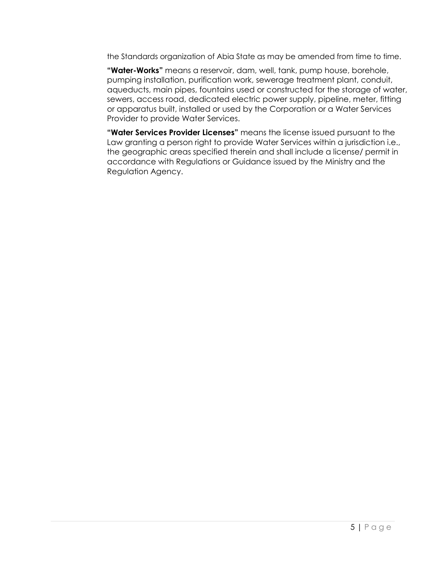the Standards organization of Abia State as may be amended from time to time.

**"Water-Works"** means a reservoir, dam, well, tank, pump house, borehole, pumping installation, purification work, sewerage treatment plant, conduit, aqueducts, main pipes, fountains used or constructed for the storage of water, sewers, access road, dedicated electric power supply, pipeline, meter, fitting or apparatus built, installed or used by the Corporation or a Water Services Provider to provide Water Services.

**"Water Services Provider Licenses"** means the license issued pursuant to the Law granting a person right to provide Water Services within a jurisdiction i.e., the geographic areas specified therein and shall include a license/ permit in accordance with Regulations or Guidance issued by the Ministry and the Regulation Agency.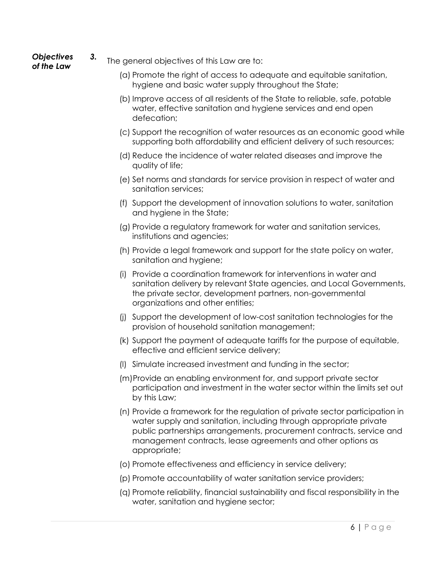- *Objectives of the Law*
- *3.* The general objectives of this Law are to:
	- (a) Promote the right of access to adequate and equitable sanitation, hygiene and basic water supply throughout the State;
	- (b) Improve access of all residents of the State to reliable, safe, potable water, effective sanitation and hygiene services and end open defecation;
	- (c) Support the recognition of water resources as an economic good while supporting both affordability and efficient delivery of such resources;
	- (d) Reduce the incidence of water related diseases and improve the quality of life;
	- (e) Set norms and standards for service provision in respect of water and sanitation services;
	- (f) Support the development of innovation solutions to water, sanitation and hygiene in the State;
	- (g) Provide a regulatory framework for water and sanitation services, institutions and agencies;
	- (h) Provide a legal framework and support for the state policy on water, sanitation and hygiene;
	- (i) Provide a coordination framework for interventions in water and sanitation delivery by relevant State agencies, and Local Governments, the private sector, development partners, non-governmental organizations and other entities;
	- (j) Support the development of low-cost sanitation technologies for the provision of household sanitation management;
	- (k) Support the payment of adequate tariffs for the purpose of equitable, effective and efficient service delivery;
	- (l) Simulate increased investment and funding in the sector;
	- (m)Provide an enabling environment for, and support private sector participation and investment in the water sector within the limits set out by this Law;
	- (n) Provide a framework for the regulation of private sector participation in water supply and sanitation, including through appropriate private public partnerships arrangements, procurement contracts, service and management contracts, lease agreements and other options as appropriate;
	- (o) Promote effectiveness and efficiency in service delivery;
	- (p) Promote accountability of water sanitation service providers;
	- (q) Promote reliability, financial sustainability and fiscal responsibility in the water, sanitation and hygiene sector;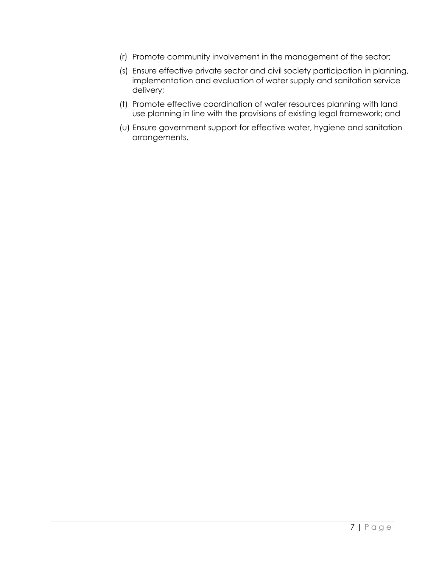- (r) Promote community involvement in the management of the sector;
- (s) Ensure effective private sector and civil society participation in planning, implementation and evaluation of water supply and sanitation service delivery;
- (t) Promote effective coordination of water resources planning with land use planning in line with the provisions of existing legal framework; and
- (u) Ensure government support for effective water, hygiene and sanitation arrangements.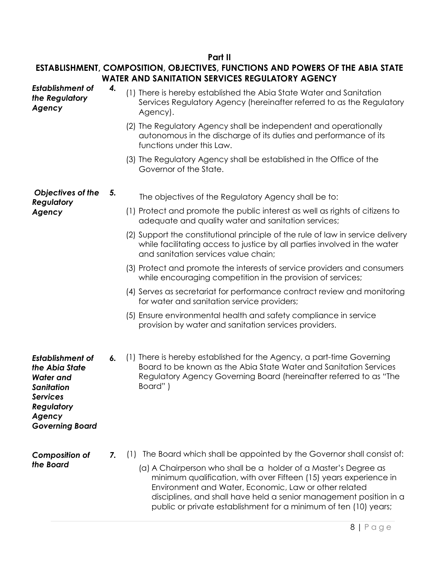# **Part II**

# **ESTABLISHMENT, COMPOSITION, OBJECTIVES, FUNCTIONS AND POWERS OF THE ABIA STATE WATER AND SANITATION SERVICES REGULATORY AGENCY**

| <b>Establishment of</b><br>the Regulatory<br>Agency                                                                                                     | 4. | (1) There is hereby established the Abia State Water and Sanitation<br>Services Regulatory Agency (hereinafter referred to as the Regulatory<br>Agency).                                                                                                                                                                                                                                                               |
|---------------------------------------------------------------------------------------------------------------------------------------------------------|----|------------------------------------------------------------------------------------------------------------------------------------------------------------------------------------------------------------------------------------------------------------------------------------------------------------------------------------------------------------------------------------------------------------------------|
|                                                                                                                                                         |    | (2) The Regulatory Agency shall be independent and operationally<br>autonomous in the discharge of its duties and performance of its<br>functions under this Law.                                                                                                                                                                                                                                                      |
|                                                                                                                                                         |    | (3) The Regulatory Agency shall be established in the Office of the<br>Governor of the State.                                                                                                                                                                                                                                                                                                                          |
| Objectives of the<br>Regulatory                                                                                                                         | 5. | The objectives of the Regulatory Agency shall be to:                                                                                                                                                                                                                                                                                                                                                                   |
| Agency                                                                                                                                                  |    | (1) Protect and promote the public interest as well as rights of citizens to<br>adequate and quality water and sanitation services;                                                                                                                                                                                                                                                                                    |
|                                                                                                                                                         |    | (2) Support the constitutional principle of the rule of law in service delivery<br>while facilitating access to justice by all parties involved in the water<br>and sanitation services value chain;                                                                                                                                                                                                                   |
|                                                                                                                                                         |    | (3) Protect and promote the interests of service providers and consumers<br>while encouraging competition in the provision of services;                                                                                                                                                                                                                                                                                |
|                                                                                                                                                         |    | (4) Serves as secretariat for performance contract review and monitoring<br>for water and sanitation service providers;                                                                                                                                                                                                                                                                                                |
|                                                                                                                                                         |    | (5) Ensure environmental health and safety compliance in service<br>provision by water and sanitation services providers.                                                                                                                                                                                                                                                                                              |
| <b>Establishment of</b><br>the Abia State<br><b>Water and</b><br><b>Sanitation</b><br><b>Services</b><br>Regulatory<br>Agency<br><b>Governing Board</b> | 6. | (1) There is hereby established for the Agency, a part-time Governing<br>Board to be known as the Abia State Water and Sanitation Services<br>Regulatory Agency Governing Board (hereinafter referred to as "The<br>Board")                                                                                                                                                                                            |
| <b>Composition of</b><br>the Board                                                                                                                      | 7. | The Board which shall be appointed by the Governor shall consist of:<br>(1)<br>(a) A Chairperson who shall be a holder of a Master's Degree as<br>minimum qualification, with over Fifteen (15) years experience in<br>Environment and Water, Economic, Law or other related<br>disciplines, and shall have held a senior management position in a<br>public or private establishment for a minimum of ten (10) years; |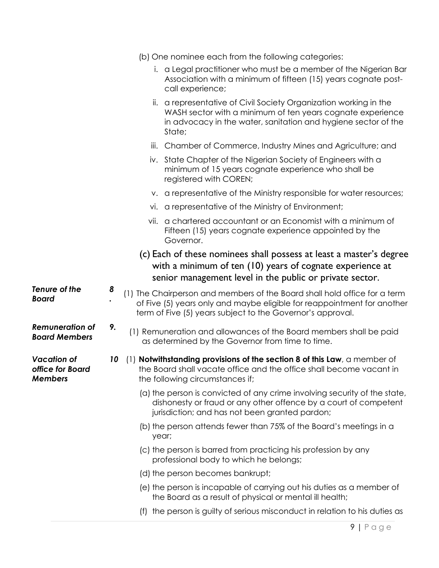|                                                          |    |       | (b) One nominee each from the following categories:                                                                                                                                                                |
|----------------------------------------------------------|----|-------|--------------------------------------------------------------------------------------------------------------------------------------------------------------------------------------------------------------------|
|                                                          |    |       | i. a Legal practitioner who must be a member of the Nigerian Bar<br>Association with a minimum of fifteen (15) years cognate post-<br>call experience;                                                             |
|                                                          |    | ii.   | a representative of Civil Society Organization working in the<br>WASH sector with a minimum of ten years cognate experience<br>in advocacy in the water, sanitation and hygiene sector of the<br>State;            |
|                                                          |    | iii.  | Chamber of Commerce, Industry Mines and Agriculture; and                                                                                                                                                           |
|                                                          |    |       | iv. State Chapter of the Nigerian Society of Engineers with a<br>minimum of 15 years cognate experience who shall be<br>registered with COREN;                                                                     |
|                                                          |    |       | v. a representative of the Ministry responsible for water resources;                                                                                                                                               |
|                                                          |    |       | vi. a representative of the Ministry of Environment;                                                                                                                                                               |
|                                                          |    |       | vii. a chartered accountant or an Economist with a minimum of<br>Fifteen (15) years cognate experience appointed by the<br>Governor.                                                                               |
|                                                          |    |       | (c) Each of these nominees shall possess at least a master's degree<br>with a minimum of ten (10) years of cognate experience at<br>senior management level in the public or private sector.                       |
| Tenure of the<br><b>Board</b>                            | 8  |       | (1) The Chairperson and members of the Board shall hold office for a term<br>of Five (5) years only and maybe eligible for reappointment for another<br>term of Five (5) years subject to the Governor's approval. |
| <b>Remuneration of</b><br><b>Board Members</b>           | 9. |       | (1) Remuneration and allowances of the Board members shall be paid<br>as determined by the Governor from time to time.                                                                                             |
| <b>Vacation of</b><br>office for Board<br><b>Members</b> | 10 |       | (1) Notwithstanding provisions of the section 8 of this Law, a member of<br>the Board shall vacate office and the office shall become vacant in<br>the following circumstances if;                                 |
|                                                          |    |       | (a) the person is convicted of any crime involving security of the state,<br>dishonesty or fraud or any other offence by a court of competent<br>jurisdiction; and has not been granted pardon;                    |
|                                                          |    | year; | (b) the person attends fewer than 75% of the Board's meetings in a                                                                                                                                                 |
|                                                          |    |       | (c) the person is barred from practicing his profession by any<br>professional body to which he belongs;                                                                                                           |
|                                                          |    |       | (d) the person becomes bankrupt;                                                                                                                                                                                   |
|                                                          |    |       | (e) the person is incapable of carrying out his duties as a member of<br>the Board as a result of physical or mental ill health;                                                                                   |
|                                                          |    |       | (f) the person is guilty of serious misconduct in relation to his duties as                                                                                                                                        |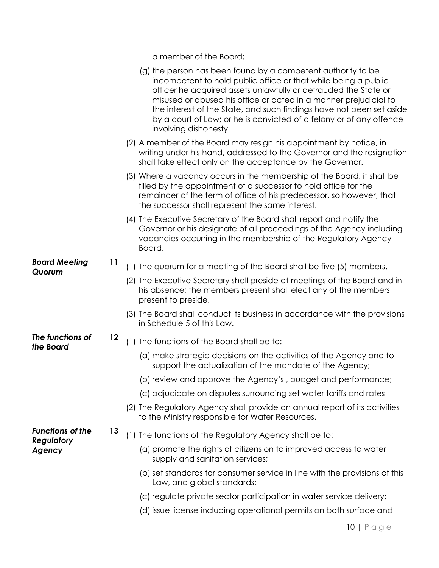a member of the Board;

|                                       |         | (g) the person has been found by a competent authority to be<br>incompetent to hold public office or that while being a public<br>officer he acquired assets unlawfully or defrauded the State or<br>misused or abused his office or acted in a manner prejudicial to<br>the interest of the State, and such findings have not been set aside<br>by a court of Law; or he is convicted of a felony or of any offence<br>involving dishonesty. |
|---------------------------------------|---------|-----------------------------------------------------------------------------------------------------------------------------------------------------------------------------------------------------------------------------------------------------------------------------------------------------------------------------------------------------------------------------------------------------------------------------------------------|
|                                       |         | (2) A member of the Board may resign his appointment by notice, in<br>writing under his hand, addressed to the Governor and the resignation<br>shall take effect only on the acceptance by the Governor.                                                                                                                                                                                                                                      |
|                                       |         | (3) Where a vacancy occurs in the membership of the Board, it shall be<br>filled by the appointment of a successor to hold office for the<br>remainder of the term of office of his predecessor, so however, that<br>the successor shall represent the same interest.                                                                                                                                                                         |
|                                       |         | (4) The Executive Secretary of the Board shall report and notify the<br>Governor or his designate of all proceedings of the Agency including<br>vacancies occurring in the membership of the Regulatory Agency<br>Board.                                                                                                                                                                                                                      |
| <b>Board Meeting</b>                  | 11      | (1) The quorum for a meeting of the Board shall be five (5) members.                                                                                                                                                                                                                                                                                                                                                                          |
| Quorum                                |         | (2) The Executive Secretary shall preside at meetings of the Board and in<br>his absence; the members present shall elect any of the members<br>present to preside.                                                                                                                                                                                                                                                                           |
|                                       |         | (3) The Board shall conduct its business in accordance with the provisions<br>in Schedule 5 of this Law.                                                                                                                                                                                                                                                                                                                                      |
| The functions of<br>the Board         | $12 \,$ | (1) The functions of the Board shall be to:                                                                                                                                                                                                                                                                                                                                                                                                   |
|                                       |         | (a) make strategic decisions on the activities of the Agency and to<br>support the actualization of the mandate of the Agency;                                                                                                                                                                                                                                                                                                                |
|                                       |         | (b) review and approve the Agency's, budget and performance;                                                                                                                                                                                                                                                                                                                                                                                  |
|                                       |         | (c) adjudicate on disputes surrounding set water tariffs and rates                                                                                                                                                                                                                                                                                                                                                                            |
|                                       |         | (2) The Regulatory Agency shall provide an annual report of its activities<br>to the Ministry responsible for Water Resources.                                                                                                                                                                                                                                                                                                                |
| <b>Functions of the</b><br>Regulatory | 13      | (1) The functions of the Regulatory Agency shall be to:                                                                                                                                                                                                                                                                                                                                                                                       |
| Agency                                |         | (a) promote the rights of citizens on to improved access to water<br>supply and sanitation services;                                                                                                                                                                                                                                                                                                                                          |
|                                       |         | (b) set standards for consumer service in line with the provisions of this<br>Law, and global standards;                                                                                                                                                                                                                                                                                                                                      |
|                                       |         | (c) regulate private sector participation in water service delivery;                                                                                                                                                                                                                                                                                                                                                                          |
|                                       |         | (d) issue license including operational permits on both surface and                                                                                                                                                                                                                                                                                                                                                                           |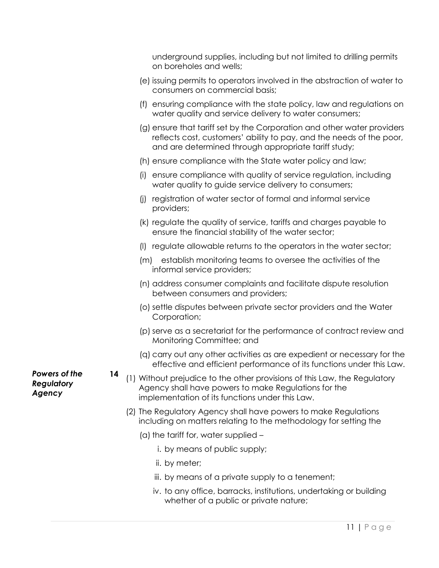underground supplies, including but not limited to drilling permits on boreholes and wells;

- (e) issuing permits to operators involved in the abstraction of water to consumers on commercial basis;
- (f) ensuring compliance with the state policy, law and regulations on water quality and service delivery to water consumers;
- (g) ensure that tariff set by the Corporation and other water providers reflects cost, customers' ability to pay, and the needs of the poor, and are determined through appropriate tariff study;
- (h) ensure compliance with the State water policy and law;
- (i) ensure compliance with quality of service regulation, including water quality to guide service delivery to consumers;
- (j) registration of water sector of formal and informal service providers;
- (k) regulate the quality of service, tariffs and charges payable to ensure the financial stability of the water sector;
- (l) regulate allowable returns to the operators in the water sector;
- (m) establish monitoring teams to oversee the activities of the informal service providers;
- (n) address consumer complaints and facilitate dispute resolution between consumers and providers;
- (o) settle disputes between private sector providers and the Water Corporation;
- (p) serve as a secretariat for the performance of contract review and Monitoring Committee; and
- (q) carry out any other activities as are expedient or necessary for the effective and efficient performance of its functions under this Law.
- **<sup>14</sup>** (1) Without prejudice to the other provisions of this Law, the Regulatory Agency shall have powers to make Regulations for the implementation of its functions under this Law.
	- (2) The Regulatory Agency shall have powers to make Regulations including on matters relating to the methodology for setting the
		- (a) the tariff for, water supplied
			- i. by means of public supply;
			- ii. by meter;
			- iii. by means of a private supply to a tenement;
			- iv. to any office, barracks, institutions, undertaking or building whether of a public or private nature;

*Powers of the Regulatory Agency*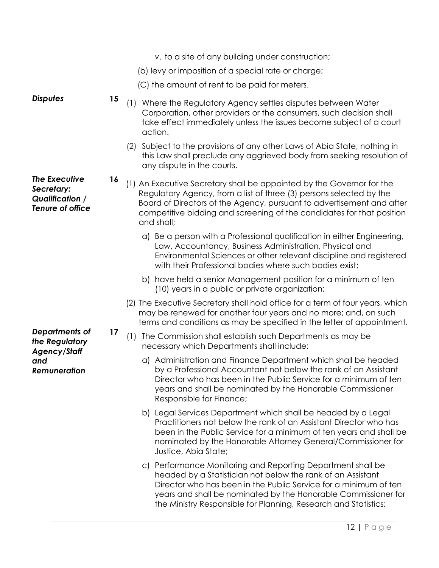v. to a site of any building under construction; (b) levy or imposition of a special rate or charge; (C) the amount of rent to be paid for meters. **Disputes 15** (1) Where the Regulatory Agency settles disputes between Water Corporation, other providers or the consumers, such decision shall take effect immediately unless the issues become subject of a court action. (2) Subject to the provisions of any other Laws of Abia State, nothing in this Law shall preclude any aggrieved body from seeking resolution of any dispute in the courts. *The Executive Secretary: Qualification / Tenure of office* **<sup>16</sup>** (1) An Executive Secretary shall be appointed by the Governor for the Regulatory Agency, from a list of three (3) persons selected by the Board of Directors of the Agency, pursuant to advertisement and after competitive bidding and screening of the candidates for that position and shall; a) Be a person with a Professional qualification in either Engineering, Law, Accountancy, Business Administration, Physical and Environmental Sciences or other relevant discipline and registered with their Professional bodies where such bodies exist; b) have held a senior Management position for a minimum of ten (10) years in a public or private organization; (2) The Executive Secretary shall hold office for a term of four years, which may be renewed for another four years and no more; and, on such terms and conditions as may be specified in the letter of appointment. *Departments of the Regulatory Agency/Staff and Remuneration*  **<sup>17</sup>** (1) The Commission shall establish such Departments as may be necessary which Departments shall include: a) Administration and Finance Department which shall be headed by a Professional Accountant not below the rank of an Assistant Director who has been in the Public Service for a minimum of ten years and shall be nominated by the Honorable Commissioner Responsible for Finance; b) Legal Services Department which shall be headed by a Legal Practitioners not below the rank of an Assistant Director who has been in the Public Service for a minimum of ten years and shall be nominated by the Honorable Attorney General/Commissioner for Justice, Abia State; c) Performance Monitoring and Reporting Department shall be headed by a Statistician not below the rank of an Assistant Director who has been in the Public Service for a minimum of ten years and shall be nominated by the Honorable Commissioner for the Ministry Responsible for Planning, Research and Statistics;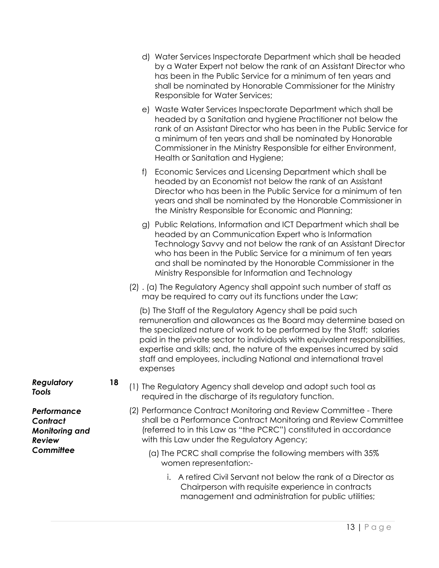- d) Water Services Inspectorate Department which shall be headed by a Water Expert not below the rank of an Assistant Director who has been in the Public Service for a minimum of ten years and shall be nominated by Honorable Commissioner for the Ministry Responsible for Water Services;
- e) Waste Water Services Inspectorate Department which shall be headed by a Sanitation and hygiene Practitioner not below the rank of an Assistant Director who has been in the Public Service for a minimum of ten years and shall be nominated by Honorable Commissioner in the Ministry Responsible for either Environment, Health or Sanitation and Hygiene;
- f) Economic Services and Licensing Department which shall be headed by an Economist not below the rank of an Assistant Director who has been in the Public Service for a minimum of ten years and shall be nominated by the Honorable Commissioner in the Ministry Responsible for Economic and Planning;
- g) Public Relations, Information and ICT Department which shall be headed by an Communication Expert who is Information Technology Savvy and not below the rank of an Assistant Director who has been in the Public Service for a minimum of ten years and shall be nominated by the Honorable Commissioner in the Ministry Responsible for Information and Technology
- (2) . (a) The Regulatory Agency shall appoint such number of staff as may be required to carry out its functions under the Law;

(b) The Staff of the Regulatory Agency shall be paid such remuneration and allowances as the Board may determine based on the specialized nature of work to be performed by the Staff; salaries paid in the private sector to individuals with equivalent responsibilities, expertise and skills; and, the nature of the expenses incurred by said staff and employees, including National and international travel expenses

- **<sup>18</sup>** (1) The Regulatory Agency shall develop and adopt such tool as required in the discharge of its regulatory function.
	- (2) Performance Contract Monitoring and Review Committee There shall be a Performance Contract Monitoring and Review Committee (referred to in this Law as "the PCRC") constituted in accordance with this Law under the Regulatory Agency;
		- (a) The PCRC shall comprise the following members with 35% women representation:
			- i. A retired Civil Servant not below the rank of a Director as Chairperson with requisite experience in contracts management and administration for public utilities;

*Regulatory Tools* 

*Performance Contract Monitoring and Review Committee*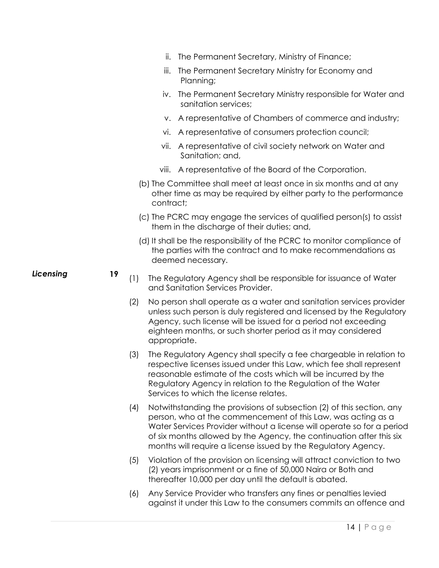|           |    |     | ii.          | The Permanent Secretary, Ministry of Finance;                                                                                                                                                                                                                                                                                                             |
|-----------|----|-----|--------------|-----------------------------------------------------------------------------------------------------------------------------------------------------------------------------------------------------------------------------------------------------------------------------------------------------------------------------------------------------------|
|           |    |     | iii.         | The Permanent Secretary Ministry for Economy and<br>Planning;                                                                                                                                                                                                                                                                                             |
|           |    |     | IV.          | The Permanent Secretary Ministry responsible for Water and<br>sanitation services;                                                                                                                                                                                                                                                                        |
|           |    |     |              | v. A representative of Chambers of commerce and industry;                                                                                                                                                                                                                                                                                                 |
|           |    |     | vi.          | A representative of consumers protection council;                                                                                                                                                                                                                                                                                                         |
|           |    |     | VII.         | A representative of civil society network on Water and<br>Sanitation; and,                                                                                                                                                                                                                                                                                |
|           |    |     |              | viii. A representative of the Board of the Corporation.                                                                                                                                                                                                                                                                                                   |
|           |    |     | contract;    | (b) The Committee shall meet at least once in six months and at any<br>other time as may be required by either party to the performance                                                                                                                                                                                                                   |
|           |    |     |              | (c) The PCRC may engage the services of qualified person(s) to assist<br>them in the discharge of their duties; and,                                                                                                                                                                                                                                      |
|           |    |     |              | (d) It shall be the responsibility of the PCRC to monitor compliance of<br>the parties with the contract and to make recommendations as<br>deemed necessary.                                                                                                                                                                                              |
| Licensing | 19 | (1) |              | The Regulatory Agency shall be responsible for issuance of Water<br>and Sanitation Services Provider.                                                                                                                                                                                                                                                     |
|           |    | (2) | appropriate. | No person shall operate as a water and sanitation services provider<br>unless such person is duly registered and licensed by the Regulatory<br>Agency, such license will be issued for a period not exceeding<br>eighteen months, or such shorter period as it may considered                                                                             |
|           |    | (3) |              | The Regulatory Agency shall specify a fee chargeable in relation to<br>respective licenses issued under this Law, which fee shall represent<br>reasonable estimate of the costs which will be incurred by the<br>Regulatory Agency in relation to the Regulation of the Water<br>Services to which the license relates.                                   |
|           |    | (4) |              | Notwithstanding the provisions of subsection (2) of this section, any<br>person, who at the commencement of this Law, was acting as a<br>Water Services Provider without a license will operate so for a period<br>of six months allowed by the Agency, the continuation after this six<br>months will require a license issued by the Regulatory Agency. |
|           |    | (5) |              | Violation of the provision on licensing will attract conviction to two<br>(2) years imprisonment or a fine of 50,000 Naira or Both and<br>thereafter 10,000 per day until the default is abated.                                                                                                                                                          |
|           |    | (6) |              | Any Service Provider who transfers any fines or penalties levied<br>against it under this Law to the consumers commits an offence and                                                                                                                                                                                                                     |
|           |    |     |              |                                                                                                                                                                                                                                                                                                                                                           |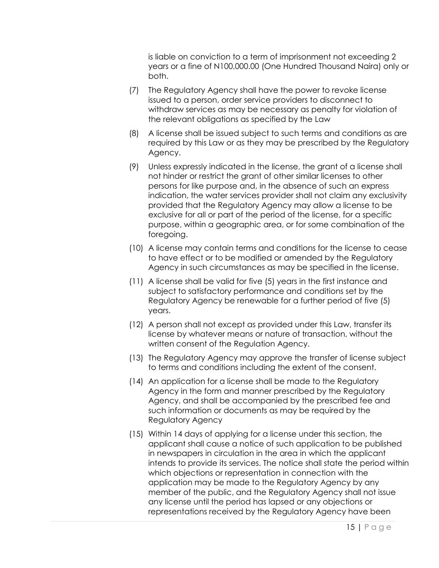is liable on conviction to a term of imprisonment not exceeding 2 years or a fine of N100,000.00 (One Hundred Thousand Naira) only or both.

- (7) The Regulatory Agency shall have the power to revoke license issued to a person, order service providers to disconnect to withdraw services as may be necessary as penalty for violation of the relevant obligations as specified by the Law
- (8) A license shall be issued subject to such terms and conditions as are required by this Law or as they may be prescribed by the Regulatory Agency.
- (9) Unless expressly indicated in the license, the grant of a license shall not hinder or restrict the grant of other similar licenses to other persons for like purpose and, in the absence of such an express indication, the water services provider shall not claim any exclusivity provided that the Regulatory Agency may allow a license to be exclusive for all or part of the period of the license, for a specific purpose, within a geographic area, or for some combination of the foregoing.
- (10) A license may contain terms and conditions for the license to cease to have effect or to be modified or amended by the Regulatory Agency in such circumstances as may be specified in the license.
- (11) A license shall be valid for five (5) years in the first instance and subject to satisfactory performance and conditions set by the Regulatory Agency be renewable for a further period of five (5) years.
- (12) A person shall not except as provided under this Law, transfer its license by whatever means or nature of transaction, without the written consent of the Regulation Agency.
- (13) The Regulatory Agency may approve the transfer of license subject to terms and conditions including the extent of the consent.
- (14) An application for a license shall be made to the Regulatory Agency in the form and manner prescribed by the Regulatory Agency, and shall be accompanied by the prescribed fee and such information or documents as may be required by the Regulatory Agency
- (15) Within 14 days of applying for a license under this section, the applicant shall cause a notice of such application to be published in newspapers in circulation in the area in which the applicant intends to provide its services. The notice shall state the period within which objections or representation in connection with the application may be made to the Regulatory Agency by any member of the public, and the Regulatory Agency shall not issue any license until the period has lapsed or any objections or representations received by the Regulatory Agency have been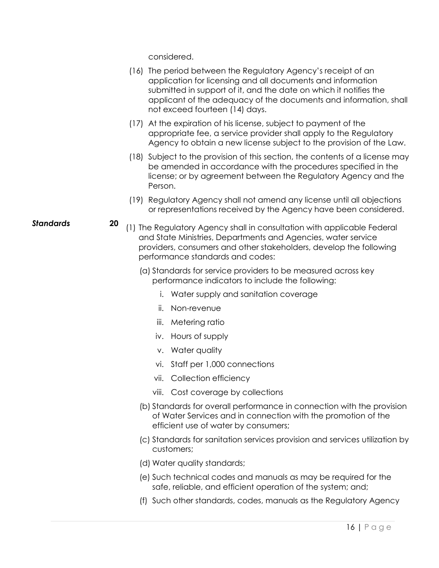considered.

- (16) The period between the Regulatory Agency's receipt of an application for licensing and all documents and information submitted in support of it, and the date on which it notifies the applicant of the adequacy of the documents and information, shall not exceed fourteen (14) days.
- (17) At the expiration of his license, subject to payment of the appropriate fee, a service provider shall apply to the Regulatory Agency to obtain a new license subject to the provision of the Law.
- (18) Subject to the provision of this section, the contents of a license may be amended in accordance with the procedures specified in the license; or by agreement between the Regulatory Agency and the Person.
- (19) Regulatory Agency shall not amend any license until all objections or representations received by the Agency have been considered.
- **Standards 20** (1) The Regulatory Agency shall in consultation with applicable Federal and State Ministries, Departments and Agencies, water service providers, consumers and other stakeholders, develop the following performance standards and codes:
	- (a) Standards for service providers to be measured across key performance indicators to include the following:
		- i. Water supply and sanitation coverage
		- ii. Non-revenue
		- iii. Metering ratio
		- iv. Hours of supply
		- v. Water quality
		- vi. Staff per 1,000 connections
		- vii. Collection efficiency
		- viii. Cost coverage by collections
	- (b) Standards for overall performance in connection with the provision of Water Services and in connection with the promotion of the efficient use of water by consumers;
	- (c) Standards for sanitation services provision and services utilization by customers;
	- (d) Water quality standards;
	- (e) Such technical codes and manuals as may be required for the safe, reliable, and efficient operation of the system; and;
	- (f) Such other standards, codes, manuals as the Regulatory Agency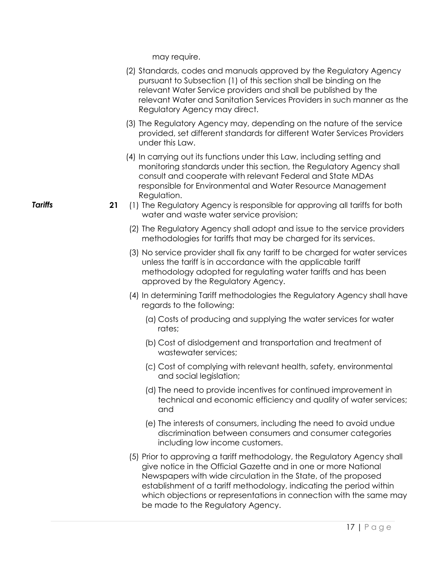may require.

- (2) Standards, codes and manuals approved by the Regulatory Agency pursuant to Subsection (1) of this section shall be binding on the relevant Water Service providers and shall be published by the relevant Water and Sanitation Services Providers in such manner as the Regulatory Agency may direct.
- (3) The Regulatory Agency may, depending on the nature of the service provided, set different standards for different Water Services Providers under this Law.
- (4) In carrying out its functions under this Law, including setting and monitoring standards under this section, the Regulatory Agency shall consult and cooperate with relevant Federal and State MDAs responsible for Environmental and Water Resource Management Regulation.
- **Tariffs** 21 (1) The Regulatory Agency is responsible for approving all tariffs for both water and waste water service provision;
	- (2) The Regulatory Agency shall adopt and issue to the service providers methodologies for tariffs that may be charged for its services.
	- (3) No service provider shall fix any tariff to be charged for water services unless the tariff is in accordance with the applicable tariff methodology adopted for regulating water tariffs and has been approved by the Regulatory Agency.
	- (4) In determining Tariff methodologies the Regulatory Agency shall have regards to the following:
		- (a) Costs of producing and supplying the water services for water rates;
		- (b) Cost of dislodgement and transportation and treatment of wastewater services;
		- (c) Cost of complying with relevant health, safety, environmental and social legislation;
		- (d) The need to provide incentives for continued improvement in technical and economic efficiency and quality of water services; and
		- (e) The interests of consumers, including the need to avoid undue discrimination between consumers and consumer categories including low income customers.
	- (5) Prior to approving a tariff methodology, the Regulatory Agency shall give notice in the Official Gazette and in one or more National Newspapers with wide circulation in the State, of the proposed establishment of a tariff methodology, indicating the period within which objections or representations in connection with the same may be made to the Regulatory Agency.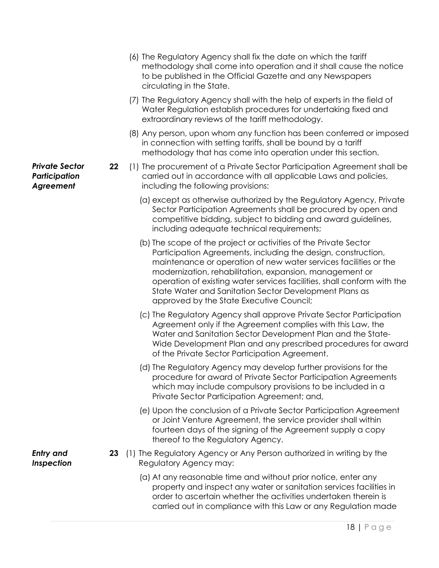|                                                     |    | (6) The Regulatory Agency shall fix the date on which the tariff<br>methodology shall come into operation and it shall cause the notice<br>to be published in the Official Gazette and any Newspapers<br>circulating in the State.                                                                                                                                                                                                                |
|-----------------------------------------------------|----|---------------------------------------------------------------------------------------------------------------------------------------------------------------------------------------------------------------------------------------------------------------------------------------------------------------------------------------------------------------------------------------------------------------------------------------------------|
|                                                     |    | (7) The Regulatory Agency shall with the help of experts in the field of<br>Water Regulation establish procedures for undertaking fixed and<br>extraordinary reviews of the tariff methodology.                                                                                                                                                                                                                                                   |
|                                                     |    | (8) Any person, upon whom any function has been conferred or imposed<br>in connection with setting tariffs, shall be bound by a tariff<br>methodology that has come into operation under this section.                                                                                                                                                                                                                                            |
| <b>Private Sector</b><br>Participation<br>Agreement | 22 | (1) The procurement of a Private Sector Participation Agreement shall be<br>carried out in accordance with all applicable Laws and policies,<br>including the following provisions:                                                                                                                                                                                                                                                               |
|                                                     |    | (a) except as otherwise authorized by the Regulatory Agency, Private<br>Sector Participation Agreements shall be procured by open and<br>competitive bidding, subject to bidding and award guidelines,<br>including adequate technical requirements;                                                                                                                                                                                              |
|                                                     |    | (b) The scope of the project or activities of the Private Sector<br>Participation Agreements, including the design, construction,<br>maintenance or operation of new water services facilities or the<br>modernization, rehabilitation, expansion, management or<br>operation of existing water services facilities, shall conform with the<br>State Water and Sanitation Sector Development Plans as<br>approved by the State Executive Council; |
|                                                     |    | (c) The Regulatory Agency shall approve Private Sector Participation<br>Agreement only if the Agreement complies with this Law, the<br>Water and Sanitation Sector Development Plan and the State-<br>Wide Development Plan and any prescribed procedures for award<br>of the Private Sector Participation Agreement.                                                                                                                             |
|                                                     |    | (d) The Regulatory Agency may develop further provisions for the<br>procedure for award of Private Sector Participation Agreements<br>which may include compulsory provisions to be included in a<br>Private Sector Participation Agreement; and,                                                                                                                                                                                                 |
|                                                     |    | (e) Upon the conclusion of a Private Sector Participation Agreement<br>or Joint Venture Agreement, the service provider shall within<br>fourteen days of the signing of the Agreement supply a copy<br>thereof to the Regulatory Agency.                                                                                                                                                                                                          |
| <b>Entry and</b><br><b>Inspection</b>               | 23 | (1) The Regulatory Agency or Any Person authorized in writing by the<br>Regulatory Agency may:                                                                                                                                                                                                                                                                                                                                                    |
|                                                     |    | (a) At any reasonable time and without prior notice, enter any<br>property and inspect any water or sanitation services facilities in<br>order to ascertain whether the activities undertaken therein is<br>carried out in compliance with this Law or any Regulation made                                                                                                                                                                        |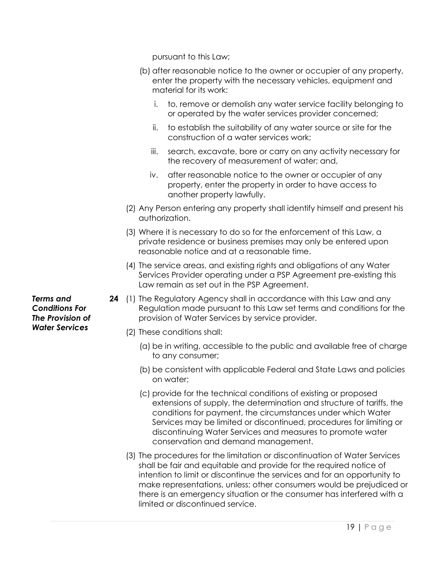pursuant to this Law;

- (b) after reasonable notice to the owner or occupier of any property, enter the property with the necessary vehicles, equipment and material for its work:
	- i. to, remove or demolish any water service facility belonging to or operated by the water services provider concerned;
	- ii. to establish the suitability of any water source or site for the construction of a water services work;
	- iii. search, excavate, bore or carry on any activity necessary for the recovery of measurement of water; and,
	- iv. after reasonable notice to the owner or occupier of any property, enter the property in order to have access to another property lawfully.
- (2) Any Person entering any property shall identify himself and present his authorization.
- (3) Where it is necessary to do so for the enforcement of this Law, a private residence or business premises may only be entered upon reasonable notice and at a reasonable time.
- (4) The service areas, and existing rights and obligations of any Water Services Provider operating under a PSP Agreement pre-existing this Law remain as set out in the PSP Agreement.
- **24** (1) The Regulatory Agency shall in accordance with this Law and any Regulation made pursuant to this Law set terms and conditions for the provision of Water Services by service provider.
	- (2) These conditions shall:
		- (a) be in writing, accessible to the public and available free of charge to any consumer;
		- (b) be consistent with applicable Federal and State Laws and policies on water;
		- (c) provide for the technical conditions of existing or proposed extensions of supply, the determination and structure of tariffs, the conditions for payment, the circumstances under which Water Services may be limited or discontinued, procedures for limiting or discontinuing Water Services and measures to promote water conservation and demand management.
	- (3) The procedures for the limitation or discontinuation of Water Services shall be fair and equitable and provide for the required notice of intention to limit or discontinue the services and for an opportunity to make representations, unless; other consumers would be prejudiced or there is an emergency situation or the consumer has interfered with a limited or discontinued service.

*Terms and Conditions For The Provision of Water Services*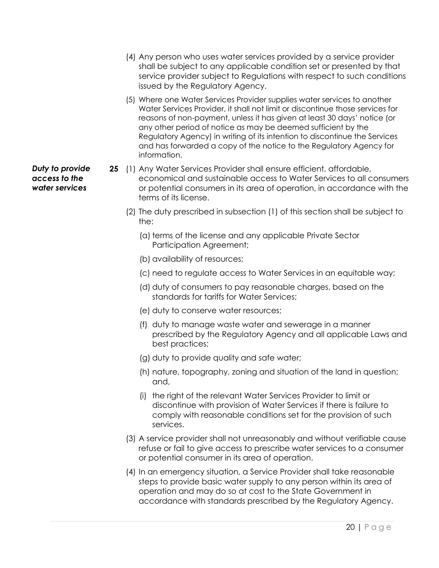- (4) Any person who uses water services provided by a service provider shall be subject to any applicable condition set or presented by that service provider subject to Regulations with respect to such conditions issued by the Regulatory Agency.
- (5) Where one Water Services Provider supplies water services to another Water Services Provider, it shall not limit or discontinue those services for reasons of non-payment, unless it has given at least 30 days' notice (or any other period of notice as may be deemed sufficient by the Regulatory Agency) in writing of its intention to discontinue the Services and has forwarded a copy of the notice to the Regulatory Agency for information.
- **25** (1) Any Water Services Provider shall ensure efficient, affordable, economical and sustainable access to Water Services to all consumers or potential consumers in its area of operation, in accordance with the terms of its license.
	- (2) The duty prescribed in subsection (1) of this section shall be subject to the:
		- (a) terms of the license and any applicable Private Sector Participation Agreement;
		- (b) availability of resources;
		- (c) need to regulate access to Water Services in an equitable way;
		- (d) duty of consumers to pay reasonable charges, based on the standards for tariffs for Water Services;
		- (e) duty to conserve water resources;
		- (f) duty to manage waste water and sewerage in a manner prescribed by the Regulatory Agency and all applicable Laws and best practices;
		- (g) duty to provide quality and safe water;
		- (h) nature, topography, zoning and situation of the land in question; and,
		- (i) the right of the relevant Water Services Provider to limit or discontinue with provision of Water Services if there is failure to comply with reasonable conditions set for the provision of such services.
	- (3) A service provider shall not unreasonably and without verifiable cause refuse or fail to give access to prescribe water services to a consumer or potential consumer in its area of operation.
	- (4) In an emergency situation, a Service Provider shall take reasonable steps to provide basic water supply to any person within its area of operation and may do so at cost to the State Government in accordance with standards prescribed by the Regulatory Agency.

*Duty to provide access to the water services*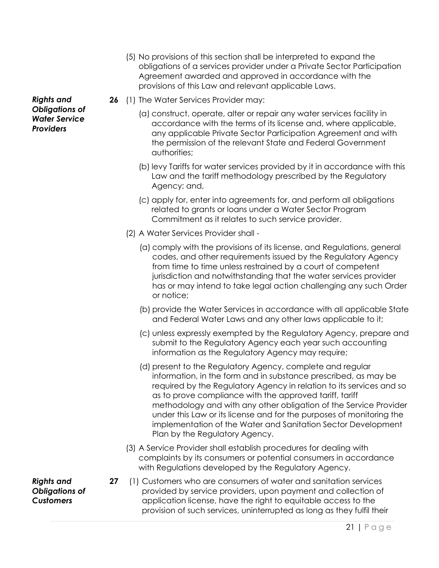- (5) No provisions of this section shall be interpreted to expand the obligations of a services provider under a Private Sector Participation Agreement awarded and approved in accordance with the provisions of this Law and relevant applicable Laws.
- **26** (1) The Water Services Provider may:
	- (a) construct, operate, alter or repair any water services facility in accordance with the terms of its license and, where applicable, any applicable Private Sector Participation Agreement and with the permission of the relevant State and Federal Government authorities;
	- (b) levy Tariffs for water services provided by it in accordance with this Law and the tariff methodology prescribed by the Regulatory Agency; and,
	- (c) apply for, enter into agreements for, and perform all obligations related to grants or loans under a Water Sector Program Commitment as it relates to such service provider.
	- (2) A Water Services Provider shall
		- (a) comply with the provisions of its license, and Regulations, general codes, and other requirements issued by the Regulatory Agency from time to time unless restrained by a court of competent jurisdiction and notwithstanding that the water services provider has or may intend to take legal action challenging any such Order or notice;
		- (b) provide the Water Services in accordance with all applicable State and Federal Water Laws and any other laws applicable to it;
		- (c) unless expressly exempted by the Regulatory Agency, prepare and submit to the Regulatory Agency each year such accounting information as the Regulatory Agency may require;
		- (d) present to the Regulatory Agency, complete and regular information, in the form and in substance prescribed, as may be required by the Regulatory Agency in relation to its services and so as to prove compliance with the approved tariff, tariff methodology and with any other obligation of the Service Provider under this Law or its license and for the purposes of monitoring the implementation of the Water and Sanitation Sector Development Plan by the Regulatory Agency.
	- (3) A Service Provider shall establish procedures for dealing with complaints by its consumers or potential consumers in accordance with Regulations developed by the Regulatory Agency.
- **27** (1) Customers who are consumers of water and sanitation services provided by service providers, upon payment and collection of application license, have the right to equitable access to the provision of such services, uninterrupted as long as they fulfil their

*Rights and Obligations of Water Service Providers* 

*Rights and Obligations of Customers*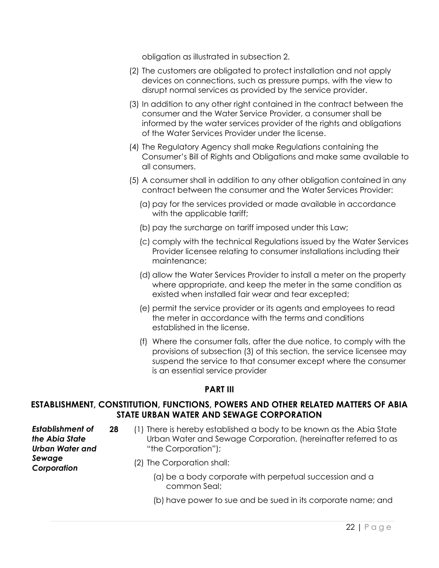obligation as illustrated in subsection 2.

- (2) The customers are obligated to protect installation and not apply devices on connections, such as pressure pumps, with the view to disrupt normal services as provided by the service provider.
- (3) In addition to any other right contained in the contract between the consumer and the Water Service Provider, a consumer shall be informed by the water services provider of the rights and obligations of the Water Services Provider under the license.
- (4) The Regulatory Agency shall make Regulations containing the Consumer's Bill of Rights and Obligations and make same available to all consumers.
- (5) A consumer shall in addition to any other obligation contained in any contract between the consumer and the Water Services Provider:
	- (a) pay for the services provided or made available in accordance with the applicable tariff;
	- (b) pay the surcharge on tariff imposed under this Law;
	- (c) comply with the technical Regulations issued by the Water Services Provider licensee relating to consumer installations including their maintenance;
	- (d) allow the Water Services Provider to install a meter on the property where appropriate, and keep the meter in the same condition as existed when installed fair wear and tear excepted;
	- (e) permit the service provider or its agents and employees to read the meter in accordance with the terms and conditions established in the license.
	- (f) Where the consumer falls, after the due notice, to comply with the provisions of subsection (3) of this section, the service licensee may suspend the service to that consumer except where the consumer is an essential service provider

#### **PART III**

### **ESTABLISHMENT, CONSTITUTION, FUNCTIONS, POWERS AND OTHER RELATED MATTERS OF ABIA STATE URBAN WATER AND SEWAGE CORPORATION**

*Establishment of the Abia State Urban Water and Sewage Corporation* 

- **28** (1) There is hereby established a body to be known as the Abia State Urban Water and Sewage Corporation, (hereinafter referred to as "the Corporation");
	- (2) The Corporation shall:
		- (a) be a body corporate with perpetual succession and a common Seal;
		- (b) have power to sue and be sued in its corporate name; and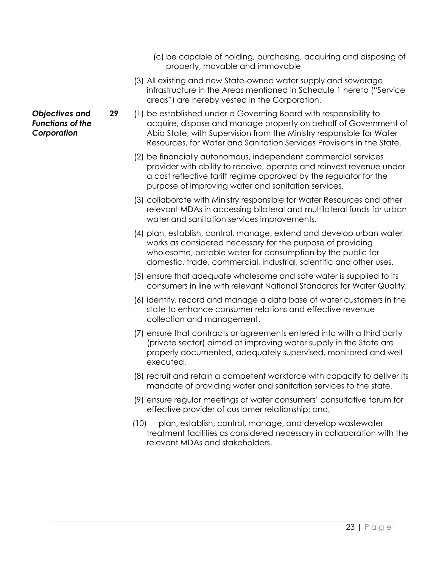- (c) be capable of holding, purchasing, acquiring and disposing of property, movable and immovable
- (3) All existing and new State-owned water supply and sewerage infrastructure in the Areas mentioned in Schedule 1 hereto ("Service areas") are hereby vested in the Corporation.
- **29** (1) be established under a Governing Board with responsibility to acquire, dispose and manage property on behalf of Government of Abia State, with Supervision from the Ministry responsible for Water Resources, for Water and Sanitation Services Provisions in the State.
	- (2) be financially autonomous, independent commercial services provider with ability to receive, operate and reinvest revenue under a cost reflective tariff regime approved by the regulator for the purpose of improving water and sanitation services.
	- (3) collaborate with Ministry responsible for Water Resources and other relevant MDAs in accessing bilateral and multilateral funds for urban water and sanitation services improvements.
	- (4) plan, establish, control, manage, extend and develop urban water works as considered necessary for the purpose of providing wholesome, potable water for consumption by the public for domestic, trade, commercial, industrial, scientific and other uses.
	- (5) ensure that adequate wholesome and safe water is supplied to its consumers in line with relevant National Standards for Water Quality.
	- (6) identify, record and manage a data base of water customers in the state to enhance consumer relations and effective revenue collection and management.
	- (7) ensure that contracts or agreements entered into with a third party (private sector) aimed at improving water supply in the State are properly documented, adequately supervised, monitored and well executed.
	- (8) recruit and retain a competent workforce with capacity to deliver its mandate of providing water and sanitation services to the state.
	- (9) ensure regular meetings of water consumers' consultative forum for effective provider of customer relationship; and,
	- (10) plan, establish, control, manage, and develop wastewater treatment facilities as considered necessary in collaboration with the relevant MDAs and stakeholders.

*Objectives and Functions of the Corporation*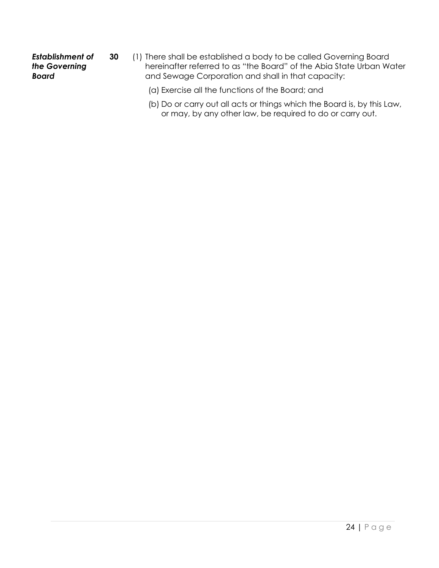#### *Establishment of the Governing Board*

- **30** (1) There shall be established a body to be called Governing Board hereinafter referred to as "the Board" of the Abia State Urban Water and Sewage Corporation and shall in that capacity:
	- (a) Exercise all the functions of the Board; and
	- (b) Do or carry out all acts or things which the Board is, by this Law, or may, by any other law, be required to do or carry out.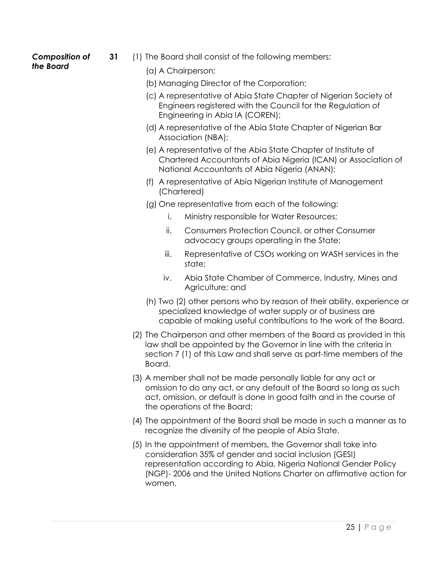#### *Composition of the Board*

- **31** (1) The Board shall consist of the following members:
	- (a) A Chairperson;
	- (b) Managing Director of the Corporation;
	- (c) A representative of Abia State Chapter of Nigerian Society of Engineers registered with the Council for the Regulation of Engineering in Abia IA (COREN);
	- (d) A representative of the Abia State Chapter of Nigerian Bar Association (NBA);
	- (e) A representative of the Abia State Chapter of Institute of Chartered Accountants of Abia Nigeria (ICAN) or Association of National Accountants of Abia Nigeria (ANAN);
	- (f) A representative of Abia Nigerian Institute of Management (Chartered)
	- (g) One representative from each of the following:
		- i. Ministry responsible for Water Resources;
		- ii. Consumers Protection Council, or other Consumer advocacy groups operating in the State;
		- iii. Representative of CSOs working on WASH services in the state;
		- iv. Abia State Chamber of Commerce, Industry, Mines and Agriculture; and
	- (h) Two (2) other persons who by reason of their ability, experience or specialized knowledge of water supply or of business are capable of making useful contributions to the work of the Board.
	- (2) The Chairperson and other members of the Board as provided in this law shall be appointed by the Governor in line with the criteria in section 7 (1) of this Law and shall serve as part-time members of the Board.
	- (3) A member shall not be made personally liable for any act or omission to do any act, or any default of the Board so long as such act, omission, or default is done in good faith and in the course of the operations of the Board;
	- (4) The appointment of the Board shall be made in such a manner as to recognize the diversity of the people of Abia State.
	- (5) In the appointment of members, the Governor shall take into consideration 35% of gender and social inclusion (GESI) representation according to Abia, Nigeria National Gender Policy (NGP)- 2006 and the United Nations Charter on affirmative action for women.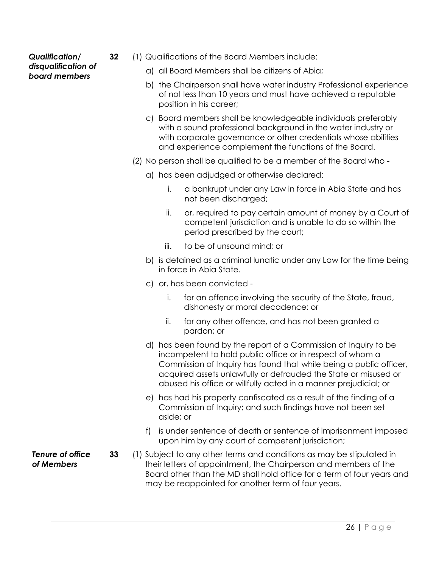#### *Qualification/ disqualification of board members*

- **32** (1) Qualifications of the Board Members include:
	- a) all Board Members shall be citizens of Abia;
	- b) the Chairperson shall have water industry Professional experience of not less than 10 years and must have achieved a reputable position in his career;
	- c) Board members shall be knowledgeable individuals preferably with a sound professional background in the water industry or with corporate governance or other credentials whose abilities and experience complement the functions of the Board.
	- (2) No person shall be qualified to be a member of the Board who
		- a) has been adjudged or otherwise declared:
			- i. a bankrupt under any Law in force in Abia State and has not been discharged;
			- ii. or, required to pay certain amount of money by a Court of competent jurisdiction and is unable to do so within the period prescribed by the court;
			- iii. to be of unsound mind; or
		- b) is detained as a criminal lunatic under any Law for the time being in force in Abia State.
		- c) or, has been convicted
			- i. for an offence involving the security of the State, fraud, dishonesty or moral decadence; or
			- ii. for any other offence, and has not been granted a pardon; or
		- d) has been found by the report of a Commission of Inquiry to be incompetent to hold public office or in respect of whom a Commission of Inquiry has found that while being a public officer, acquired assets unlawfully or defrauded the State or misused or abused his office or willfully acted in a manner prejudicial; or
		- e) has had his property confiscated as a result of the finding of a Commission of Inquiry; and such findings have not been set aside; or
		- f) is under sentence of death or sentence of imprisonment imposed upon him by any court of competent jurisdiction;
- **33** (1) Subject to any other terms and conditions as may be stipulated in their letters of appointment, the Chairperson and members of the Board other than the MD shall hold office for a term of four years and may be reappointed for another term of four years.

*Tenure of office of Members*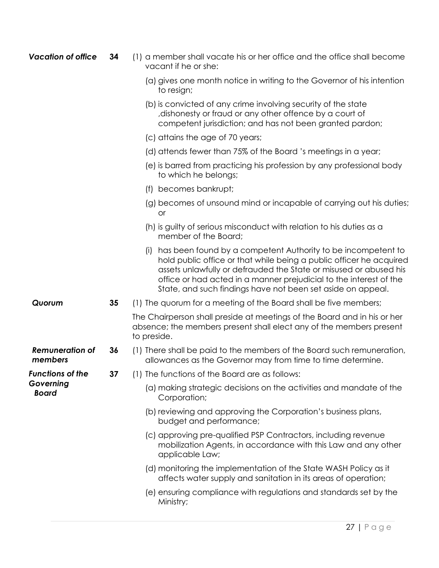| <b>Vacation of office</b>         | 34 | (1) a member shall vacate his or her office and the office shall become<br>vacant if he or she:                                                                                                                                                                                                                                                      |
|-----------------------------------|----|------------------------------------------------------------------------------------------------------------------------------------------------------------------------------------------------------------------------------------------------------------------------------------------------------------------------------------------------------|
|                                   |    | (a) gives one month notice in writing to the Governor of his intention<br>to resign;                                                                                                                                                                                                                                                                 |
|                                   |    | (b) is convicted of any crime involving security of the state<br>dishonesty or fraud or any other offence by a court of<br>competent jurisdiction; and has not been granted pardon;                                                                                                                                                                  |
|                                   |    | (c) attains the age of 70 years;                                                                                                                                                                                                                                                                                                                     |
|                                   |    | (d) attends fewer than 75% of the Board 's meetings in a year;                                                                                                                                                                                                                                                                                       |
|                                   |    | (e) is barred from practicing his profession by any professional body<br>to which he belongs;                                                                                                                                                                                                                                                        |
|                                   |    | becomes bankrupt;<br>(f)                                                                                                                                                                                                                                                                                                                             |
|                                   |    | (g) becomes of unsound mind or incapable of carrying out his duties;<br>or                                                                                                                                                                                                                                                                           |
|                                   |    | (h) is guilty of serious misconduct with relation to his duties as a<br>member of the Board;                                                                                                                                                                                                                                                         |
|                                   |    | has been found by a competent Authority to be incompetent to<br>(i)<br>hold public office or that while being a public officer he acquired<br>assets unlawfully or defrauded the State or misused or abused his<br>office or had acted in a manner prejudicial to the interest of the<br>State, and such findings have not been set aside on appeal. |
| Quorum                            | 35 | (1) The quorum for a meeting of the Board shall be five members;                                                                                                                                                                                                                                                                                     |
|                                   |    | The Chairperson shall preside at meetings of the Board and in his or her<br>absence; the members present shall elect any of the members present<br>to preside.                                                                                                                                                                                       |
| <b>Remuneration of</b><br>members | 36 | (1) There shall be paid to the members of the Board such remuneration,<br>allowances as the Governor may from time to time determine.                                                                                                                                                                                                                |
| Functions of the                  | 37 | (1) The functions of the Board are as follows:                                                                                                                                                                                                                                                                                                       |
| Governing<br><b>Board</b>         |    | (a) making strategic decisions on the activities and mandate of the<br>Corporation;                                                                                                                                                                                                                                                                  |
|                                   |    | (b) reviewing and approving the Corporation's business plans,<br>budget and performance;                                                                                                                                                                                                                                                             |
|                                   |    | (c) approving pre-qualified PSP Contractors, including revenue<br>mobilization Agents, in accordance with this Law and any other<br>applicable Law;                                                                                                                                                                                                  |
|                                   |    | (d) monitoring the implementation of the State WASH Policy as it<br>affects water supply and sanitation in its areas of operation;                                                                                                                                                                                                                   |
|                                   |    | (e) ensuring compliance with regulations and standards set by the<br>Ministry;                                                                                                                                                                                                                                                                       |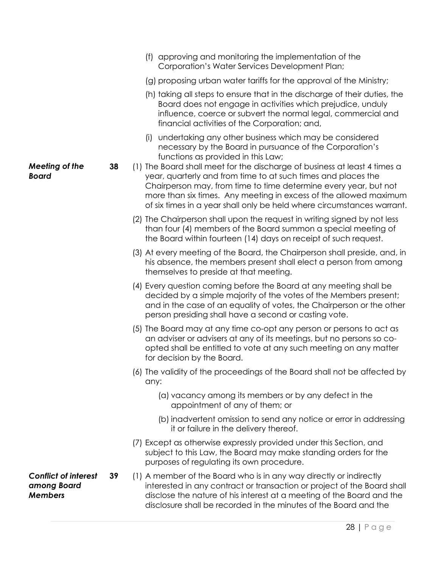influence, coerce or subvert the normal legal, commercial and financial activities of the Corporation; and, (i) undertaking any other business which may be considered necessary by the Board in pursuance of the Corporation's functions as provided in this Law; *Meeting of the Board*  **38** (1) The Board shall meet for the discharge of business at least 4 times a year, quarterly and from time to at such times and places the Chairperson may, from time to time determine every year, but not more than six times. Any meeting in excess of the allowed maximum of six times in a year shall only be held where circumstances warrant. (2) The Chairperson shall upon the request in writing signed by not less than four (4) members of the Board summon a special meeting of the Board within fourteen (14) days on receipt of such request. (3) At every meeting of the Board, the Chairperson shall preside, and, in his absence, the members present shall elect a person from among themselves to preside at that meeting. (4) Every question coming before the Board at any meeting shall be decided by a simple majority of the votes of the Members present; and in the case of an equality of votes, the Chairperson or the other person presiding shall have a second or casting vote. (5) The Board may at any time co-opt any person or persons to act as an adviser or advisers at any of its meetings, but no persons so coopted shall be entitled to vote at any such meeting on any matter for decision by the Board. (6) The validity of the proceedings of the Board shall not be affected by any: (a) vacancy among its members or by any defect in the appointment of any of them; or (b) inadvertent omission to send any notice or error in addressing it or failure in the delivery thereof. (7) Except as otherwise expressly provided under this Section, and subject to this Law, the Board may make standing orders for the purposes of regulating its own procedure. *Conflict of interest among Board Members*  **39** (1) A member of the Board who is in any way directly or indirectly interested in any contract or transaction or project of the Board shall disclose the nature of his interest at a meeting of the Board and the disclosure shall be recorded in the minutes of the Board and the

(f) approving and monitoring the implementation of the Corporation's Water Services Development Plan;

(g) proposing urban water tariffs for the approval of the Ministry;

(h) taking all steps to ensure that in the discharge of their duties, the Board does not engage in activities which prejudice, unduly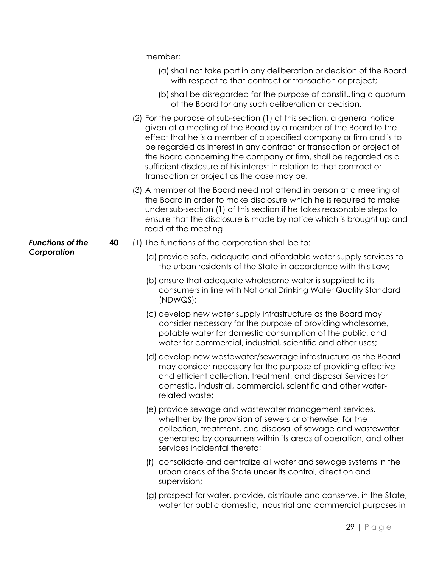member;

- (a) shall not take part in any deliberation or decision of the Board with respect to that contract or transaction or project;
- (b) shall be disregarded for the purpose of constituting a quorum of the Board for any such deliberation or decision.
- (2) For the purpose of sub-section (1) of this section, a general notice given at a meeting of the Board by a member of the Board to the effect that he is a member of a specified company or firm and is to be regarded as interest in any contract or transaction or project of the Board concerning the company or firm, shall be regarded as a sufficient disclosure of his interest in relation to that contract or transaction or project as the case may be.
- (3) A member of the Board need not attend in person at a meeting of the Board in order to make disclosure which he is required to make under sub-section (1) of this section if he takes reasonable steps to ensure that the disclosure is made by notice which is brought up and read at the meeting.
- **40** (1) The functions of the corporation shall be to:
	- (a) provide safe, adequate and affordable water supply services to the urban residents of the State in accordance with this Law;
	- (b) ensure that adequate wholesome water is supplied to its consumers in line with National Drinking Water Quality Standard (NDWQS);
	- (c) develop new water supply infrastructure as the Board may consider necessary for the purpose of providing wholesome, potable water for domestic consumption of the public, and water for commercial, industrial, scientific and other uses;
	- (d) develop new wastewater/sewerage infrastructure as the Board may consider necessary for the purpose of providing effective and efficient collection, treatment, and disposal Services for domestic, industrial, commercial, scientific and other waterrelated waste;
	- (e) provide sewage and wastewater management services, whether by the provision of sewers or otherwise, for the collection, treatment, and disposal of sewage and wastewater generated by consumers within its areas of operation, and other services incidental thereto;
	- (f) consolidate and centralize all water and sewage systems in the urban areas of the State under its control, direction and supervision;
	- (g) prospect for water, provide, distribute and conserve, in the State, water for public domestic, industrial and commercial purposes in

*Functions of the Corporation*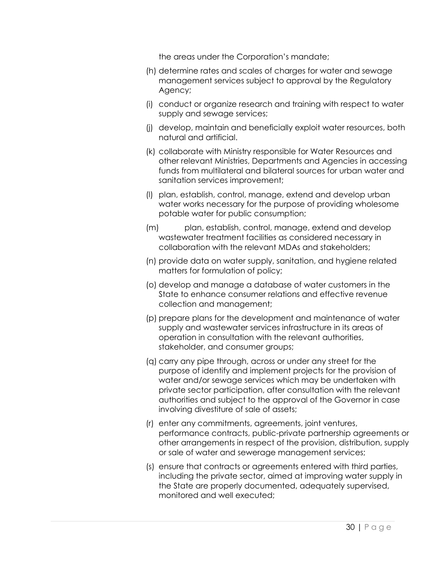the areas under the Corporation's mandate;

- (h) determine rates and scales of charges for water and sewage management services subject to approval by the Regulatory Agency;
- (i) conduct or organize research and training with respect to water supply and sewage services;
- (j) develop, maintain and beneficially exploit water resources, both natural and artificial.
- (k) collaborate with Ministry responsible for Water Resources and other relevant Ministries, Departments and Agencies in accessing funds from multilateral and bilateral sources for urban water and sanitation services improvement;
- (l) plan, establish, control, manage, extend and develop urban water works necessary for the purpose of providing wholesome potable water for public consumption;
- (m) plan, establish, control, manage, extend and develop wastewater treatment facilities as considered necessary in collaboration with the relevant MDAs and stakeholders;
- (n) provide data on water supply, sanitation, and hygiene related matters for formulation of policy;
- (o) develop and manage a database of water customers in the State to enhance consumer relations and effective revenue collection and management;
- (p) prepare plans for the development and maintenance of water supply and wastewater services infrastructure in its areas of operation in consultation with the relevant authorities, stakeholder, and consumer groups;
- (q) carry any pipe through, across or under any street for the purpose of identify and implement projects for the provision of water and/or sewage services which may be undertaken with private sector participation, after consultation with the relevant authorities and subject to the approval of the Governor in case involving divestiture of sale of assets;
- (r) enter any commitments, agreements, joint ventures, performance contracts, public-private partnership agreements or other arrangements in respect of the provision, distribution, supply or sale of water and sewerage management services;
- (s) ensure that contracts or agreements entered with third parties, including the private sector, aimed at improving water supply in the State are properly documented, adequately supervised, monitored and well executed;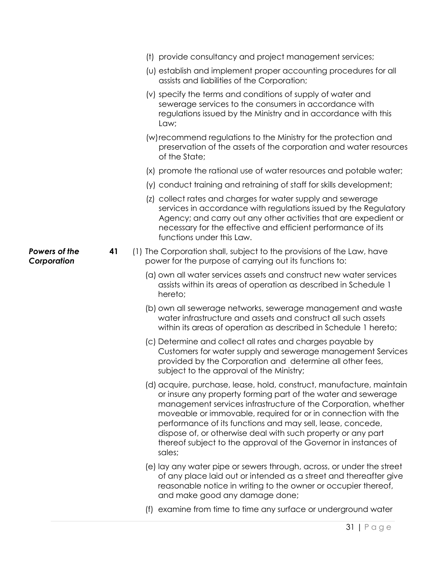|                              |    | (t) provide consultancy and project management services;                                                                                                                                                                                                                                                                                                                                                                                                                            |
|------------------------------|----|-------------------------------------------------------------------------------------------------------------------------------------------------------------------------------------------------------------------------------------------------------------------------------------------------------------------------------------------------------------------------------------------------------------------------------------------------------------------------------------|
|                              |    | (u) establish and implement proper accounting procedures for all<br>assists and liabilities of the Corporation;                                                                                                                                                                                                                                                                                                                                                                     |
|                              |    | (v) specify the terms and conditions of supply of water and<br>sewerage services to the consumers in accordance with<br>regulations issued by the Ministry and in accordance with this<br>Law;                                                                                                                                                                                                                                                                                      |
|                              |    | (w) recommend regulations to the Ministry for the protection and<br>preservation of the assets of the corporation and water resources<br>of the State;                                                                                                                                                                                                                                                                                                                              |
|                              |    | (x) promote the rational use of water resources and potable water;                                                                                                                                                                                                                                                                                                                                                                                                                  |
|                              |    | (y) conduct training and retraining of staff for skills development;                                                                                                                                                                                                                                                                                                                                                                                                                |
|                              |    | (z) collect rates and charges for water supply and sewerage<br>services in accordance with regulations issued by the Regulatory<br>Agency; and carry out any other activities that are expedient or<br>necessary for the effective and efficient performance of its<br>functions under this Law.                                                                                                                                                                                    |
| Powers of the<br>Corporation | 41 | (1) The Corporation shall, subject to the provisions of the Law, have<br>power for the purpose of carrying out its functions to:                                                                                                                                                                                                                                                                                                                                                    |
|                              |    | (a) own all water services assets and construct new water services<br>assists within its areas of operation as described in Schedule 1<br>hereto;                                                                                                                                                                                                                                                                                                                                   |
|                              |    | (b) own all sewerage networks, sewerage management and waste<br>water infrastructure and assets and construct all such assets<br>within its areas of operation as described in Schedule 1 hereto;                                                                                                                                                                                                                                                                                   |
|                              |    | (c) Determine and collect all rates and charges payable by<br>Customers for water supply and sewerage management Services<br>provided by the Corporation and determine all other fees<br>subject to the approval of the Ministry;                                                                                                                                                                                                                                                   |
|                              |    | (d) acquire, purchase, lease, hold, construct, manufacture, maintain<br>or insure any property forming part of the water and sewerage<br>management services infrastructure of the Corporation, whether<br>moveable or immovable, required for or in connection with the<br>performance of its functions and may sell, lease, concede,<br>dispose of, or otherwise deal with such property or any part<br>thereof subject to the approval of the Governor in instances of<br>sales; |
|                              |    | (e) lay any water pipe or sewers through, across, or under the street                                                                                                                                                                                                                                                                                                                                                                                                               |

- (e) lay any water pipe or sewers through, across, or under the street of any place laid out or intended as a street and thereafter give reasonable notice in writing to the owner or occupier thereof, and make good any damage done;
- (f) examine from time to time any surface or underground water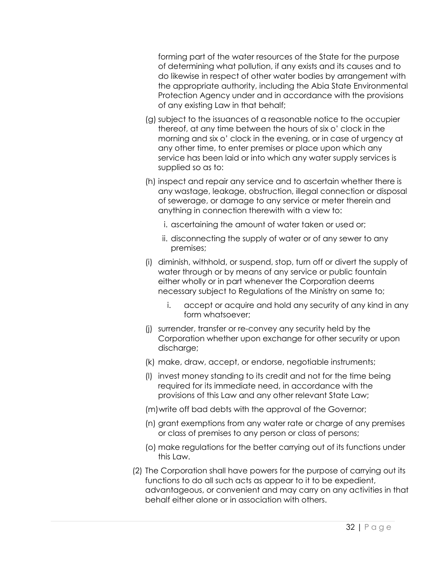forming part of the water resources of the State for the purpose of determining what pollution, if any exists and its causes and to do likewise in respect of other water bodies by arrangement with the appropriate authority, including the Abia State Environmental Protection Agency under and in accordance with the provisions of any existing Law in that behalf;

- (g) subject to the issuances of a reasonable notice to the occupier thereof, at any time between the hours of six o' clock in the morning and six o' clock in the evening, or in case of urgency at any other time, to enter premises or place upon which any service has been laid or into which any water supply services is supplied so as to:
- (h) inspect and repair any service and to ascertain whether there is any wastage, leakage, obstruction, illegal connection or disposal of sewerage, or damage to any service or meter therein and anything in connection therewith with a view to:
	- i. ascertaining the amount of water taken or used or;
	- ii. disconnecting the supply of water or of any sewer to any premises;
- (i) diminish, withhold, or suspend, stop, turn off or divert the supply of water through or by means of any service or public fountain either wholly or in part whenever the Corporation deems necessary subject to Regulations of the Ministry on same to;
	- i. accept or acquire and hold any security of any kind in any form whatsoever;
- (j) surrender, transfer or re-convey any security held by the Corporation whether upon exchange for other security or upon discharge;
- (k) make, draw, accept, or endorse, negotiable instruments;
- (l) invest money standing to its credit and not for the time being required for its immediate need, in accordance with the provisions of this Law and any other relevant State Law;

(m)write off bad debts with the approval of the Governor;

- (n) grant exemptions from any water rate or charge of any premises or class of premises to any person or class of persons;
- (o) make regulations for the better carrying out of its functions under this Law.
- (2) The Corporation shall have powers for the purpose of carrying out its functions to do all such acts as appear to it to be expedient, advantageous, or convenient and may carry on any activities in that behalf either alone or in association with others.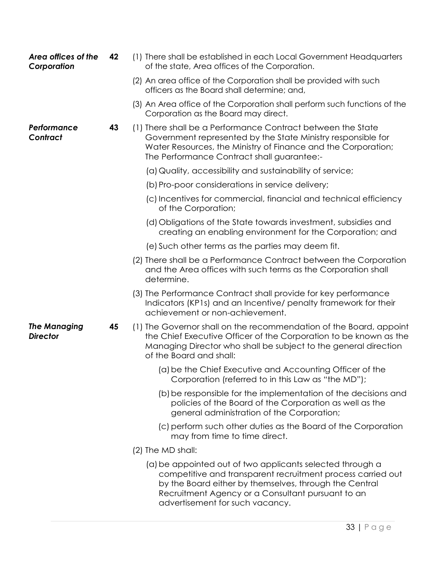| Area offices of the<br>Corporation     | 42 | (1) There shall be established in each Local Government Headquarters<br>of the state, Area offices of the Corporation.                                                                                                                     |
|----------------------------------------|----|--------------------------------------------------------------------------------------------------------------------------------------------------------------------------------------------------------------------------------------------|
|                                        |    | (2) An area office of the Corporation shall be provided with such<br>officers as the Board shall determine; and,                                                                                                                           |
|                                        |    | (3) An Area office of the Corporation shall perform such functions of the<br>Corporation as the Board may direct.                                                                                                                          |
| Performance<br>Contract                | 43 | (1) There shall be a Performance Contract between the State<br>Government represented by the State Ministry responsible for<br>Water Resources, the Ministry of Finance and the Corporation;<br>The Performance Contract shall guarantee:- |
|                                        |    | (a) Quality, accessibility and sustainability of service;                                                                                                                                                                                  |
|                                        |    | (b) Pro-poor considerations in service delivery;                                                                                                                                                                                           |
|                                        |    | (c) Incentives for commercial, financial and technical efficiency<br>of the Corporation;                                                                                                                                                   |
|                                        |    | (d) Obligations of the State towards investment, subsidies and<br>creating an enabling environment for the Corporation; and                                                                                                                |
|                                        |    | (e) Such other terms as the parties may deem fit.                                                                                                                                                                                          |
|                                        |    | (2) There shall be a Performance Contract between the Corporation<br>and the Area offices with such terms as the Corporation shall<br>determine.                                                                                           |
|                                        |    | (3) The Performance Contract shall provide for key performance<br>Indicators (KP1s) and an Incentive/ penalty framework for their<br>achievement or non-achievement.                                                                       |
| <b>The Managing</b><br><b>Director</b> | 45 | (1) The Governor shall on the recommendation of the Board, appoint<br>the Chief Executive Officer of the Corporation to be known as the<br>Managing Director who shall be subject to the general direction<br>of the Board and shall:      |
|                                        |    | (a) be the Chief Executive and Accounting Officer of the<br>Corporation (referred to in this Law as "the MD");                                                                                                                             |
|                                        |    | (b) be responsible for the implementation of the decisions and<br>policies of the Board of the Corporation as well as the<br>general administration of the Corporation;                                                                    |
|                                        |    | (c) perform such other duties as the Board of the Corporation<br>may from time to time direct.                                                                                                                                             |
|                                        |    | (2) The MD shall:                                                                                                                                                                                                                          |
|                                        |    | (a) be appointed out of two applicants selected through a<br>competitive and transparent recruitment process carried out<br>by the Board either by themselves, through the Central                                                         |

Recruitment Agency or a Consultant pursuant to an

advertisement for such vacancy.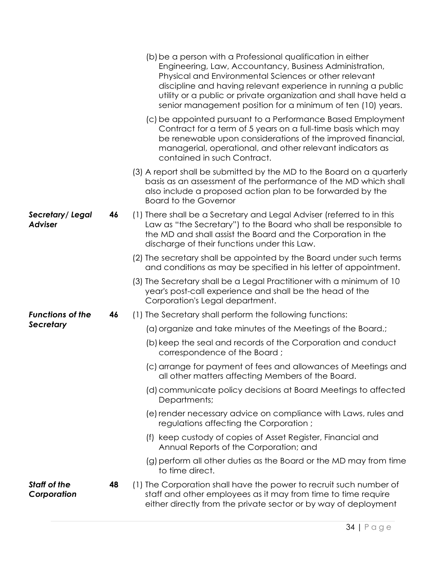|                                    |    | (b) be a person with a Professional qualification in either<br>Engineering, Law, Accountancy, Business Administration,<br>Physical and Environmental Sciences or other relevant<br>discipline and having relevant experience in running a public<br>utility or a public or private organization and shall have held a<br>senior management position for a minimum of ten (10) years. |
|------------------------------------|----|--------------------------------------------------------------------------------------------------------------------------------------------------------------------------------------------------------------------------------------------------------------------------------------------------------------------------------------------------------------------------------------|
|                                    |    | (c) be appointed pursuant to a Performance Based Employment<br>Contract for a term of 5 years on a full-time basis which may<br>be renewable upon considerations of the improved financial,<br>managerial, operational, and other relevant indicators as<br>contained in such Contract.                                                                                              |
|                                    |    | (3) A report shall be submitted by the MD to the Board on a quarterly<br>basis as an assessment of the performance of the MD which shall<br>also include a proposed action plan to be forwarded by the<br><b>Board to the Governor</b>                                                                                                                                               |
| Secretary/Legal<br><b>Adviser</b>  | 46 | (1) There shall be a Secretary and Legal Adviser (referred to in this<br>Law as "the Secretary") to the Board who shall be responsible to<br>the MD and shall assist the Board and the Corporation in the<br>discharge of their functions under this Law.                                                                                                                            |
|                                    |    | (2) The secretary shall be appointed by the Board under such terms<br>and conditions as may be specified in his letter of appointment.                                                                                                                                                                                                                                               |
|                                    |    | (3) The Secretary shall be a Legal Practitioner with a minimum of 10<br>year's post-call experience and shall be the head of the<br>Corporation's Legal department.                                                                                                                                                                                                                  |
| <b>Functions of the</b>            | 46 | (1) The Secretary shall perform the following functions:                                                                                                                                                                                                                                                                                                                             |
| <b>Secretary</b>                   |    | (a) organize and take minutes of the Meetings of the Board.;                                                                                                                                                                                                                                                                                                                         |
|                                    |    | (b) keep the seal and records of the Corporation and conduct<br>correspondence of the Board;                                                                                                                                                                                                                                                                                         |
|                                    |    | (c) arrange for payment of fees and allowances of Meetings and<br>all other matters affecting Members of the Board.                                                                                                                                                                                                                                                                  |
|                                    |    | (d) communicate policy decisions at Board Meetings to affected<br>Departments;                                                                                                                                                                                                                                                                                                       |
|                                    |    | (e) render necessary advice on compliance with Laws, rules and<br>regulations affecting the Corporation;                                                                                                                                                                                                                                                                             |
|                                    |    | (f) keep custody of copies of Asset Register, Financial and<br>Annual Reports of the Corporation; and                                                                                                                                                                                                                                                                                |
|                                    |    | (g) perform all other duties as the Board or the MD may from time<br>to time direct.                                                                                                                                                                                                                                                                                                 |
| <b>Staff of the</b><br>Corporation | 48 | (1) The Corporation shall have the power to recruit such number of<br>staff and other employees as it may from time to time require<br>either directly from the private sector or by way of deployment                                                                                                                                                                               |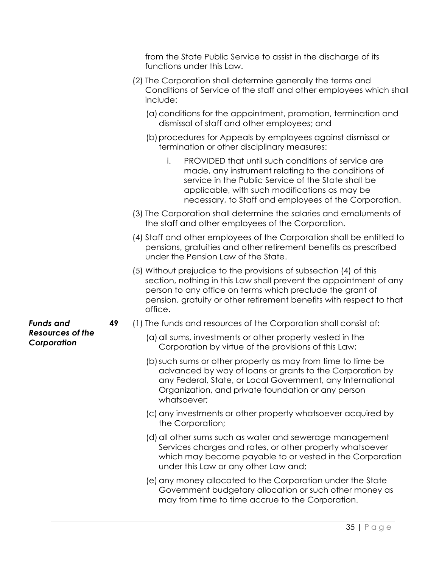from the State Public Service to assist in the discharge of its functions under this Law. (2) The Corporation shall determine generally the terms and Conditions of Service of the staff and other employees which shall include: (a)conditions for the appointment, promotion, termination and dismissal of staff and other employees; and (b) procedures for Appeals by employees against dismissal or termination or other disciplinary measures: i. PROVIDED that until such conditions of service are made, any instrument relating to the conditions of service in the Public Service of the State shall be applicable, with such modifications as may be necessary, to Staff and employees of the Corporation. (3) The Corporation shall determine the salaries and emoluments of the staff and other employees of the Corporation. (4) Staff and other employees of the Corporation shall be entitled to pensions, gratuities and other retirement benefits as prescribed under the Pension Law of the State. (5) Without prejudice to the provisions of subsection (4) of this section, nothing in this Law shall prevent the appointment of any person to any office on terms which preclude the grant of pension, gratuity or other retirement benefits with respect to that office. *Funds and Resources of the Corporation*  **49** (1) The funds and resources of the Corporation shall consist of: (a) all sums, investments or other property vested in the Corporation by virtue of the provisions of this Law; (b)such sums or other property as may from time to time be advanced by way of loans or grants to the Corporation by any Federal, State, or Local Government, any International Organization, and private foundation or any person whatsoever: (c) any investments or other property whatsoever acquired by the Corporation; (d) all other sums such as water and sewerage management Services charges and rates, or other property whatsoever which may become payable to or vested in the Corporation under this Law or any other Law and;

> (e) any money allocated to the Corporation under the State Government budgetary allocation or such other money as may from time to time accrue to the Corporation.

> > 35 | P a g e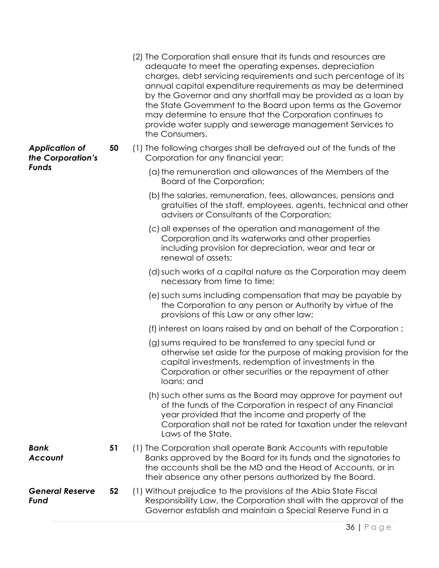|                                            |    | (2) The Corporation shall ensure that its funds and resources are<br>adequate to meet the operating expenses, depreciation<br>charges, debt servicing requirements and such percentage of its<br>annual capital expenditure requirements as may be determined<br>by the Governor and any shortfall may be provided as a loan by<br>the State Government to the Board upon terms as the Governor<br>may determine to ensure that the Corporation continues to<br>provide water supply and sewerage management Services to<br>the Consumers. |
|--------------------------------------------|----|--------------------------------------------------------------------------------------------------------------------------------------------------------------------------------------------------------------------------------------------------------------------------------------------------------------------------------------------------------------------------------------------------------------------------------------------------------------------------------------------------------------------------------------------|
| <b>Application of</b><br>the Corporation's | 50 | (1) The following charges shall be defrayed out of the funds of the<br>Corporation for any financial year:                                                                                                                                                                                                                                                                                                                                                                                                                                 |
| <b>Funds</b>                               |    | (a) the remuneration and allowances of the Members of the<br>Board of the Corporation;                                                                                                                                                                                                                                                                                                                                                                                                                                                     |
|                                            |    | (b) the salaries, remuneration, fees, allowances, pensions and<br>gratuities of the staff, employees, agents, technical and other<br>advisers or Consultants of the Corporation;                                                                                                                                                                                                                                                                                                                                                           |
|                                            |    | (c) all expenses of the operation and management of the<br>Corporation and its waterworks and other properties<br>including provision for depreciation, wear and tear or<br>renewal of assets;                                                                                                                                                                                                                                                                                                                                             |
|                                            |    | (d) such works of a capital nature as the Corporation may deem<br>necessary from time to time;                                                                                                                                                                                                                                                                                                                                                                                                                                             |
|                                            |    | (e) such sums including compensation that may be payable by<br>the Corporation to any person or Authority by virtue of the<br>provisions of this Law or any other law;                                                                                                                                                                                                                                                                                                                                                                     |
|                                            |    | (f) interest on loans raised by and on behalf of the Corporation;                                                                                                                                                                                                                                                                                                                                                                                                                                                                          |
|                                            |    | (g) sums required to be transferred to any special fund or<br>otherwise set aside for the purpose of making provision for the<br>capital investments, redemption of investments in the<br>Corporation or other securities or the repayment of other<br>loans; and                                                                                                                                                                                                                                                                          |
|                                            |    | (h) such other sums as the Board may approve for payment out<br>of the funds of the Corporation in respect of any Financial<br>year provided that the income and property of the<br>Corporation shall not be rated for taxation under the relevant<br>Laws of the State.                                                                                                                                                                                                                                                                   |
| Bank<br><b>Account</b>                     | 51 | (1) The Corporation shall operate Bank Accounts with reputable<br>Banks approved by the Board for its funds and the signatories to<br>the accounts shall be the MD and the Head of Accounts, or in<br>their absence any other persons authorized by the Board.                                                                                                                                                                                                                                                                             |
| <b>General Reserve</b><br>Fund             | 52 | (1) Without prejudice to the provisions of the Abia State Fiscal<br>Responsibility Law, the Corporation shall with the approval of the<br>Governor establish and maintain a Special Reserve Fund in a                                                                                                                                                                                                                                                                                                                                      |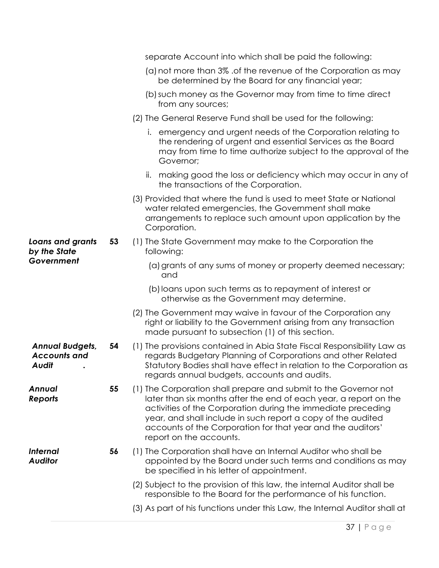|                                                        |    | separate Account into which shall be paid the following:                                                                                                                                                                                                                                                                                                        |
|--------------------------------------------------------|----|-----------------------------------------------------------------------------------------------------------------------------------------------------------------------------------------------------------------------------------------------------------------------------------------------------------------------------------------------------------------|
|                                                        |    | (a) not more than 3% of the revenue of the Corporation as may<br>be determined by the Board for any financial year;                                                                                                                                                                                                                                             |
|                                                        |    | (b) such money as the Governor may from time to time direct<br>from any sources;                                                                                                                                                                                                                                                                                |
|                                                        |    | (2) The General Reserve Fund shall be used for the following:                                                                                                                                                                                                                                                                                                   |
|                                                        |    | i. emergency and urgent needs of the Corporation relating to<br>the rendering of urgent and essential Services as the Board<br>may from time to time authorize subject to the approval of the<br>Governor;                                                                                                                                                      |
|                                                        |    | ii. making good the loss or deficiency which may occur in any of<br>the transactions of the Corporation.                                                                                                                                                                                                                                                        |
|                                                        |    | (3) Provided that where the fund is used to meet State or National<br>water related emergencies, the Government shall make<br>arrangements to replace such amount upon application by the<br>Corporation.                                                                                                                                                       |
| Loans and grants<br>by the State                       | 53 | (1) The State Government may make to the Corporation the<br>following:                                                                                                                                                                                                                                                                                          |
| Government                                             |    | (a) grants of any sums of money or property deemed necessary;<br>and                                                                                                                                                                                                                                                                                            |
|                                                        |    | (b) loans upon such terms as to repayment of interest or<br>otherwise as the Government may determine.                                                                                                                                                                                                                                                          |
|                                                        |    | (2) The Government may waive in favour of the Corporation any<br>right or liability to the Government arising from any transaction<br>made pursuant to subsection (1) of this section.                                                                                                                                                                          |
| <b>Annual Budgets,</b><br><b>Accounts and</b><br>Audit | 54 | (1) The provisions contained in Abia State Fiscal Responsibility Law as<br>regards Budgetary Planning of Corporations and other Related<br>Statutory Bodies shall have effect in relation to the Corporation as<br>regards annual budgets, accounts and audits.                                                                                                 |
| Annual<br>Reports                                      | 55 | (1) The Corporation shall prepare and submit to the Governor not<br>later than six months after the end of each year, a report on the<br>activities of the Corporation during the immediate preceding<br>year, and shall include in such report a copy of the audited<br>accounts of the Corporation for that year and the auditors'<br>report on the accounts. |
| <b>Internal</b><br><b>Auditor</b>                      | 56 | (1) The Corporation shall have an Internal Auditor who shall be<br>appointed by the Board under such terms and conditions as may<br>be specified in his letter of appointment.                                                                                                                                                                                  |
|                                                        |    | (2) Subject to the provision of this law, the internal Auditor shall be<br>responsible to the Board for the performance of his function.                                                                                                                                                                                                                        |
|                                                        |    | (3) As part of his functions under this Law, the Internal Auditor shall at                                                                                                                                                                                                                                                                                      |
|                                                        |    |                                                                                                                                                                                                                                                                                                                                                                 |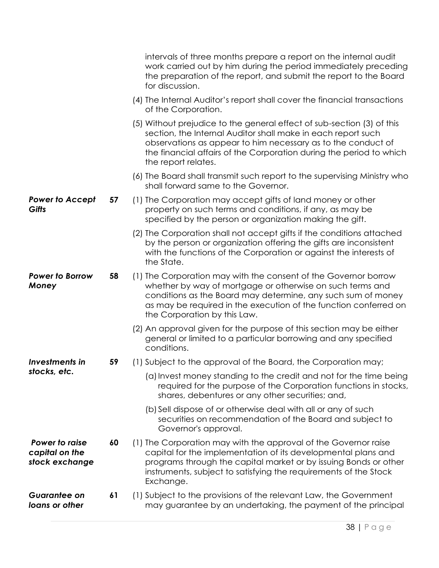|                                                    |    | intervals of three months prepare a report on the internal audit<br>work carried out by him during the period immediately preceding<br>the preparation of the report, and submit the report to the Board<br>for discussion.                                                                          |
|----------------------------------------------------|----|------------------------------------------------------------------------------------------------------------------------------------------------------------------------------------------------------------------------------------------------------------------------------------------------------|
|                                                    |    | (4) The Internal Auditor's report shall cover the financial transactions<br>of the Corporation.                                                                                                                                                                                                      |
|                                                    |    | (5) Without prejudice to the general effect of sub-section (3) of this<br>section, the Internal Auditor shall make in each report such<br>observations as appear to him necessary as to the conduct of<br>the financial affairs of the Corporation during the period to which<br>the report relates. |
|                                                    |    | (6) The Board shall transmit such report to the supervising Ministry who<br>shall forward same to the Governor.                                                                                                                                                                                      |
| <b>Power to Accept</b><br>Gifts                    | 57 | (1) The Corporation may accept gifts of land money or other<br>property on such terms and conditions, if any, as may be<br>specified by the person or organization making the gift.                                                                                                                  |
|                                                    |    | (2) The Corporation shall not accept gifts if the conditions attached<br>by the person or organization offering the gifts are inconsistent<br>with the functions of the Corporation or against the interests of<br>the State.                                                                        |
| <b>Power to Borrow</b><br>Money                    | 58 | (1) The Corporation may with the consent of the Governor borrow<br>whether by way of mortgage or otherwise on such terms and<br>conditions as the Board may determine, any such sum of money<br>as may be required in the execution of the function conferred on<br>the Corporation by this Law.     |
|                                                    |    | (2) An approval given for the purpose of this section may be either<br>general or limited to a particular borrowing and any specified<br>conditions.                                                                                                                                                 |
| <b>Investments in</b>                              | 59 | (1) Subject to the approval of the Board, the Corporation may;                                                                                                                                                                                                                                       |
| stocks, etc.                                       |    | (a) Invest money standing to the credit and not for the time being<br>required for the purpose of the Corporation functions in stocks,<br>shares, debentures or any other securities; and,                                                                                                           |
|                                                    |    | (b) Sell dispose of or otherwise deal with all or any of such<br>securities on recommendation of the Board and subject to<br>Governor's approval.                                                                                                                                                    |
| Power to raise<br>capital on the<br>stock exchange | 60 | (1) The Corporation may with the approval of the Governor raise<br>capital for the implementation of its developmental plans and<br>programs through the capital market or by issuing Bonds or other<br>instruments, subject to satisfying the requirements of the Stock<br>Exchange.                |
| <b>Guarantee on</b><br>loans or other              | 61 | (1) Subject to the provisions of the relevant Law, the Government<br>may guarantee by an undertaking, the payment of the principal                                                                                                                                                                   |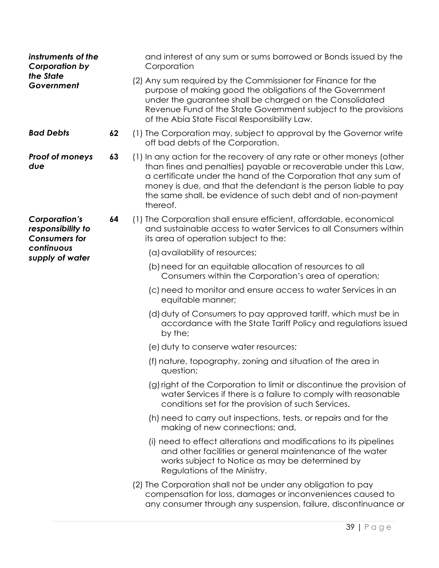| instruments of the<br><b>Corporation by</b>                       |    | and interest of any sum or sums borrowed or Bonds issued by the<br>Corporation                                                                                                                                                                                                                                                                              |
|-------------------------------------------------------------------|----|-------------------------------------------------------------------------------------------------------------------------------------------------------------------------------------------------------------------------------------------------------------------------------------------------------------------------------------------------------------|
| the State<br>Government                                           |    | (2) Any sum required by the Commissioner for Finance for the<br>purpose of making good the obligations of the Government<br>under the guarantee shall be charged on the Consolidated<br>Revenue Fund of the State Government subject to the provisions<br>of the Abia State Fiscal Responsibility Law.                                                      |
| <b>Bad Debts</b>                                                  | 62 | (1) The Corporation may, subject to approval by the Governor write<br>off bad debts of the Corporation.                                                                                                                                                                                                                                                     |
| <b>Proof of moneys</b><br>due                                     | 63 | (1) In any action for the recovery of any rate or other moneys (other<br>than fines and penalties) payable or recoverable under this Law,<br>a certificate under the hand of the Corporation that any sum of<br>money is due, and that the defendant is the person liable to pay<br>the same shall, be evidence of such debt and of non-payment<br>thereof. |
| <b>Corporation's</b><br>responsibility to<br><b>Consumers for</b> | 64 | (1) The Corporation shall ensure efficient, affordable, economical<br>and sustainable access to water Services to all Consumers within<br>its area of operation subject to the:                                                                                                                                                                             |
| continuous<br>supply of water                                     |    | (a) availability of resources;                                                                                                                                                                                                                                                                                                                              |
|                                                                   |    | (b) need for an equitable allocation of resources to all<br>Consumers within the Corporation's area of operation;                                                                                                                                                                                                                                           |
|                                                                   |    | (c) need to monitor and ensure access to water Services in an<br>equitable manner;                                                                                                                                                                                                                                                                          |
|                                                                   |    | (d) duty of Consumers to pay approved tariff, which must be in<br>accordance with the State Tariff Policy and regulations issued<br>by the;                                                                                                                                                                                                                 |
|                                                                   |    | (e) duty to conserve water resources;                                                                                                                                                                                                                                                                                                                       |
|                                                                   |    | (f) nature, topography, zoning and situation of the area in<br>question;                                                                                                                                                                                                                                                                                    |
|                                                                   |    | (g) right of the Corporation to limit or discontinue the provision of<br>water Services if there is a failure to comply with reasonable<br>conditions set for the provision of such Services.                                                                                                                                                               |
|                                                                   |    | (h) need to carry out inspections, tests, or repairs and for the<br>making of new connections; and,                                                                                                                                                                                                                                                         |
|                                                                   |    | (i) need to effect alterations and modifications to its pipelines<br>and other facilities or general maintenance of the water<br>works subject to Notice as may be determined by<br>Regulations of the Ministry.                                                                                                                                            |
|                                                                   |    | (2) The Corporation shall not be under any obligation to pay<br>compensation for loss, damages or inconveniences caused to<br>any consumer through any suspension, failure, discontinuance or                                                                                                                                                               |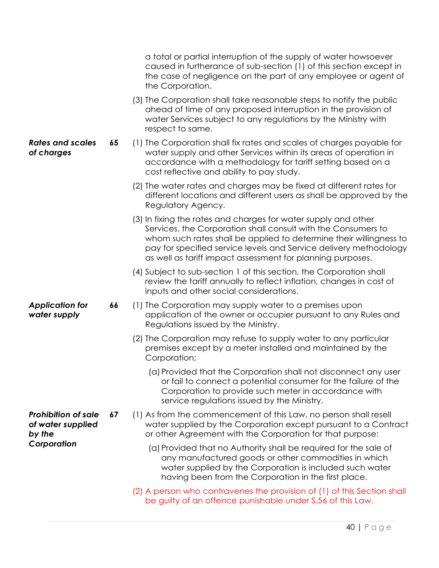|                                                           |    | a total or partial interruption of the supply of water howsoever<br>caused in furtherance of sub-section (1) of this section except in<br>the case of negligence on the part of any employee or agent of<br>the Corporation.                                                                                                             |
|-----------------------------------------------------------|----|------------------------------------------------------------------------------------------------------------------------------------------------------------------------------------------------------------------------------------------------------------------------------------------------------------------------------------------|
|                                                           |    | (3) The Corporation shall take reasonable steps to notify the public<br>ahead of time of any proposed interruption in the provision of<br>water Services subject to any regulations by the Ministry with<br>respect to same.                                                                                                             |
| <b>Rates and scales</b><br>of charges                     | 65 | (1) The Corporation shall fix rates and scales of charges payable for<br>water supply and other Services within its areas of operation in<br>accordance with a methodology for tariff setting based on a<br>cost reflective and ability to pay study.                                                                                    |
|                                                           |    | (2) The water rates and charges may be fixed at different rates for<br>different locations and different users as shall be approved by the<br>Regulatory Agency.                                                                                                                                                                         |
|                                                           |    | (3) In fixing the rates and charges for water supply and other<br>Services, the Corporation shall consult with the Consumers to<br>whom such rates shall be applied to determine their willingness to<br>pay for specified service levels and Service delivery methodology<br>as well as tariff impact assessment for planning purposes. |
|                                                           |    | (4) Subject to sub-section 1 of this section, the Corporation shall<br>review the tariff annually to reflect inflation, changes in cost of<br>inputs and other social considerations.                                                                                                                                                    |
| <b>Application for</b><br>water supply                    | 66 | (1) The Corporation may supply water to a premises upon<br>application of the owner or occupier pursuant to any Rules and<br>Regulations issued by the Ministry.                                                                                                                                                                         |
|                                                           |    | (2) The Corporation may refuse to supply water to any particular<br>premises except by a meter installed and maintained by the<br>Corporation;                                                                                                                                                                                           |
|                                                           |    | (a) Provided that the Corporation shall not disconnect any user<br>or fail to connect a potential consumer for the failure of the<br>Corporation to provide such meter in accordance with<br>service regulations issued by the Ministry.                                                                                                 |
| <b>Prohibition of sale</b><br>of water supplied<br>by the | 67 | (1) As from the commencement of this Law, no person shall resell<br>water supplied by the Corporation except pursuant to a Contract<br>or other Agreement with the Corporation for that purpose:                                                                                                                                         |
| Corporation                                               |    | (a) Provided that no Authority shall be required for the sale of<br>any manufactured goods or other commodities in which<br>water supplied by the Corporation is included such water<br>having been from the Corporation in the first place.                                                                                             |
|                                                           |    | (2) A person who contravenes the provision of (1) of this Section shall<br>be guilty of an offence punishable under S.56 of this Law.                                                                                                                                                                                                    |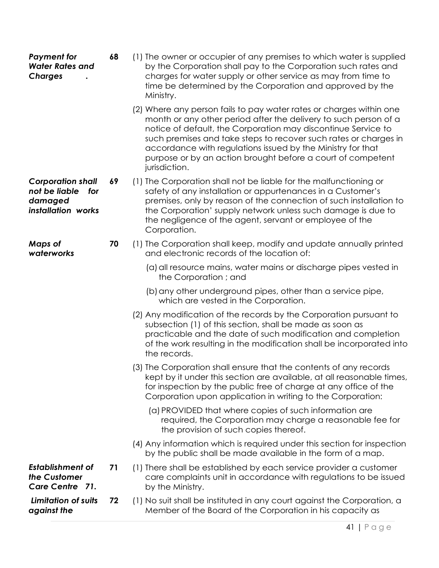| <b>Charges</b>                                                                    |    | charges for water supply or other service as may from time to<br>time be determined by the Corporation and approved by the<br>Ministry.                                                                                                                                                                                                                                                                                     |
|-----------------------------------------------------------------------------------|----|-----------------------------------------------------------------------------------------------------------------------------------------------------------------------------------------------------------------------------------------------------------------------------------------------------------------------------------------------------------------------------------------------------------------------------|
|                                                                                   |    | (2) Where any person fails to pay water rates or charges within one<br>month or any other period after the delivery to such person of a<br>notice of default, the Corporation may discontinue Service to<br>such premises and take steps to recover such rates or charges in<br>accordance with regulations issued by the Ministry for that<br>purpose or by an action brought before a court of competent<br>jurisdiction. |
| <b>Corporation shall</b><br>not be liable<br>for<br>damaged<br>installation works | 69 | (1) The Corporation shall not be liable for the malfunctioning or<br>safety of any installation or appurtenances in a Customer's<br>premises, only by reason of the connection of such installation to<br>the Corporation' supply network unless such damage is due to<br>the negligence of the agent, servant or employee of the<br>Corporation.                                                                           |
| <b>Maps of</b><br>waterworks                                                      | 70 | (1) The Corporation shall keep, modify and update annually printed<br>and electronic records of the location of:                                                                                                                                                                                                                                                                                                            |
|                                                                                   |    | (a) all resource mains, water mains or discharge pipes vested in<br>the Corporation; and                                                                                                                                                                                                                                                                                                                                    |
|                                                                                   |    | (b) any other underground pipes, other than a service pipe,<br>which are vested in the Corporation.                                                                                                                                                                                                                                                                                                                         |
|                                                                                   |    | (2) Any modification of the records by the Corporation pursuant to<br>subsection (1) of this section, shall be made as soon as<br>practicable and the date of such modification and completion<br>of the work resulting in the modification shall be incorporated into<br>the records.                                                                                                                                      |
|                                                                                   |    | (3) The Corporation shall ensure that the contents of any records<br>kept by it under this section are available, at all reasonable times,<br>for inspection by the public free of charge at any office of the<br>Corporation upon application in writing to the Corporation:                                                                                                                                               |
|                                                                                   |    | (a) PROVIDED that where copies of such information are<br>required, the Corporation may charge a reasonable fee for<br>the provision of such copies thereof.                                                                                                                                                                                                                                                                |
|                                                                                   |    | (4) Any information which is required under this section for inspection<br>by the public shall be made available in the form of a map.                                                                                                                                                                                                                                                                                      |
| <b>Establishment of</b><br>the Customer<br>Care Centre 71.                        | 71 | (1) There shall be established by each service provider a customer<br>care complaints unit in accordance with regulations to be issued<br>by the Ministry.                                                                                                                                                                                                                                                                  |
| <b>Limitation of suits</b><br>against the                                         | 72 | (1) No suit shall be instituted in any court against the Corporation, a<br>Member of the Board of the Corporation in his capacity as                                                                                                                                                                                                                                                                                        |

**68** (1) The owner or occupier of any premises to which water is supplied

by the Corporation shall pay to the Corporation such rates and

*Payment for Water Rates and*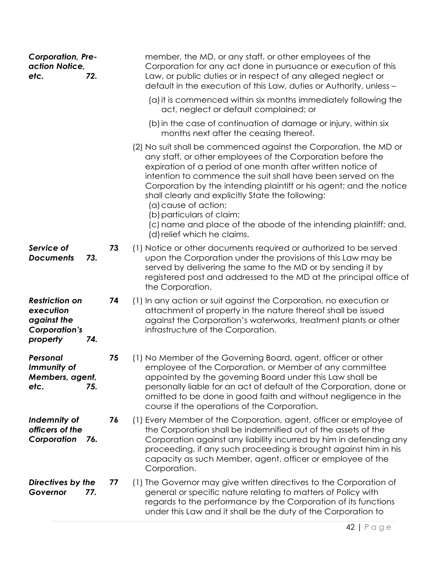| <b>Corporation, Pre-</b><br>action Notice,<br>72.<br>etc.                                    |    | member, the MD, or any staff, or other employees of the<br>Corporation for any act done in pursuance or execution of this<br>Law, or public duties or in respect of any alleged neglect or<br>default in the execution of this Law, duties or Authority, unless -                                                                                                                                                                                                                                                                                   |
|----------------------------------------------------------------------------------------------|----|-----------------------------------------------------------------------------------------------------------------------------------------------------------------------------------------------------------------------------------------------------------------------------------------------------------------------------------------------------------------------------------------------------------------------------------------------------------------------------------------------------------------------------------------------------|
|                                                                                              |    | (a) it is commenced within six months immediately following the<br>act, neglect or default complained; or                                                                                                                                                                                                                                                                                                                                                                                                                                           |
|                                                                                              |    | (b) in the case of continuation of damage or injury, within six<br>months next after the ceasing thereof.                                                                                                                                                                                                                                                                                                                                                                                                                                           |
|                                                                                              |    | (2) No suit shall be commenced against the Corporation, the MD or<br>any staff, or other employees of the Corporation before the<br>expiration of a period of one month after written notice of<br>intention to commence the suit shall have been served on the<br>Corporation by the intending plaintiff or his agent; and the notice<br>shall clearly and explicitly State the following:<br>(a) cause of action;<br>(b) particulars of claim;<br>(c) name and place of the abode of the intending plaintiff; and,<br>(d) relief which he claims. |
| Service of<br>73.<br><b>Documents</b>                                                        | 73 | (1) Notice or other documents required or authorized to be served<br>upon the Corporation under the provisions of this Law may be<br>served by delivering the same to the MD or by sending it by<br>registered post and addressed to the MD at the principal office of<br>the Corporation.                                                                                                                                                                                                                                                          |
| <b>Restriction on</b><br>execution<br>against the<br><b>Corporation's</b><br>property<br>74. | 74 | (1) In any action or suit against the Corporation, no execution or<br>attachment of property in the nature thereof shall be issued<br>against the Corporation's waterworks, treatment plants or other<br>infrastructure of the Corporation.                                                                                                                                                                                                                                                                                                         |
| Personal<br>Immunity of<br>Members, agent,<br>etc.<br>75.                                    | 75 | (1) No Member of the Governing Board, agent, officer or other<br>employee of the Corporation, or Member of any committee<br>appointed by the governing Board under this Law shall be<br>personally liable for an act of default of the Corporation, done or<br>omitted to be done in good faith and without negligence in the<br>course if the operations of the Corporation.                                                                                                                                                                       |
| Indemnity of<br>officers of the<br>Corporation<br>76.                                        | 76 | (1) Every Member of the Corporation, agent, officer or employee of<br>the Corporation shall be indemnified out of the assets of the<br>Corporation against any liability incurred by him in defending any<br>proceeding, if any such proceeding is brought against him in his<br>capacity as such Member, agent, officer or employee of the<br>Corporation.                                                                                                                                                                                         |
| Directives by the<br>Governor<br>77.                                                         | 77 | (1) The Governor may give written directives to the Corporation of<br>general or specific nature relating to matters of Policy with<br>regards to the performance by the Corporation of its functions<br>under this Law and it shall be the duty of the Corporation to                                                                                                                                                                                                                                                                              |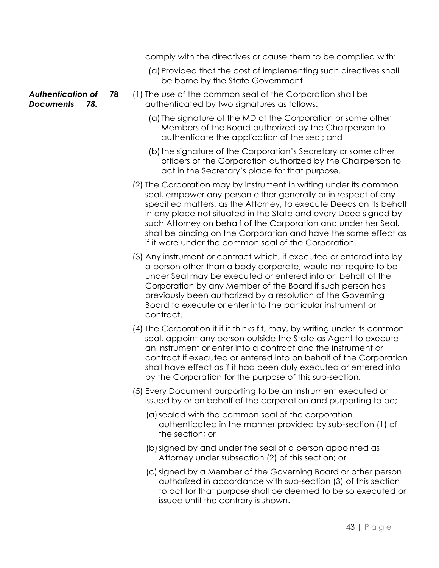|                                                     |    | comply with the directives or cause them to be complied with:                                                                                                                                                                                                                                                                                                                                                                                                             |             |
|-----------------------------------------------------|----|---------------------------------------------------------------------------------------------------------------------------------------------------------------------------------------------------------------------------------------------------------------------------------------------------------------------------------------------------------------------------------------------------------------------------------------------------------------------------|-------------|
|                                                     |    | (a) Provided that the cost of implementing such directives shall<br>be borne by the State Government.                                                                                                                                                                                                                                                                                                                                                                     |             |
| <b>Authentication of</b><br><b>Documents</b><br>78. | 78 | (1) The use of the common seal of the Corporation shall be<br>authenticated by two signatures as follows:                                                                                                                                                                                                                                                                                                                                                                 |             |
|                                                     |    | (a) The signature of the MD of the Corporation or some other<br>Members of the Board authorized by the Chairperson to<br>authenticate the application of the seal; and                                                                                                                                                                                                                                                                                                    |             |
|                                                     |    | (b) the signature of the Corporation's Secretary or some other<br>officers of the Corporation authorized by the Chairperson to<br>act in the Secretary's place for that purpose.                                                                                                                                                                                                                                                                                          |             |
|                                                     |    | (2) The Corporation may by instrument in writing under its common<br>seal, empower any person either generally or in respect of any<br>specified matters, as the Attorney, to execute Deeds on its behalf<br>in any place not situated in the State and every Deed signed by<br>such Attorney on behalf of the Corporation and under her Seal,<br>shall be binding on the Corporation and have the same effect as<br>if it were under the common seal of the Corporation. |             |
|                                                     |    | (3) Any instrument or contract which, if executed or entered into by<br>a person other than a body corporate, would not require to be<br>under Seal may be executed or entered into on behalf of the<br>Corporation by any Member of the Board if such person has<br>previously been authorized by a resolution of the Governing<br>Board to execute or enter into the particular instrument or<br>contract.                                                              |             |
|                                                     |    | (4) The Corporation it if it thinks fit, may, by writing under its common<br>seal, appoint any person outside the State as Agent to execute<br>an instrument or enter into a contract and the instrument or<br>contract if executed or entered into on behalf of the Corporation<br>shall have effect as if it had been duly executed or entered into<br>by the Corporation for the purpose of this sub-section.                                                          |             |
|                                                     |    | (5) Every Document purporting to be an Instrument executed or<br>issued by or on behalf of the corporation and purporting to be;                                                                                                                                                                                                                                                                                                                                          |             |
|                                                     |    | (a) sealed with the common seal of the corporation<br>authenticated in the manner provided by sub-section (1) of<br>the section; or                                                                                                                                                                                                                                                                                                                                       |             |
|                                                     |    | (b) signed by and under the seal of a person appointed as<br>Attorney under subsection (2) of this section; or                                                                                                                                                                                                                                                                                                                                                            |             |
|                                                     |    | (c) signed by a Member of the Governing Board or other person<br>authorized in accordance with sub-section (3) of this section<br>to act for that purpose shall be deemed to be so executed or<br>issued until the contrary is shown.                                                                                                                                                                                                                                     |             |
|                                                     |    |                                                                                                                                                                                                                                                                                                                                                                                                                                                                           | $43$   Page |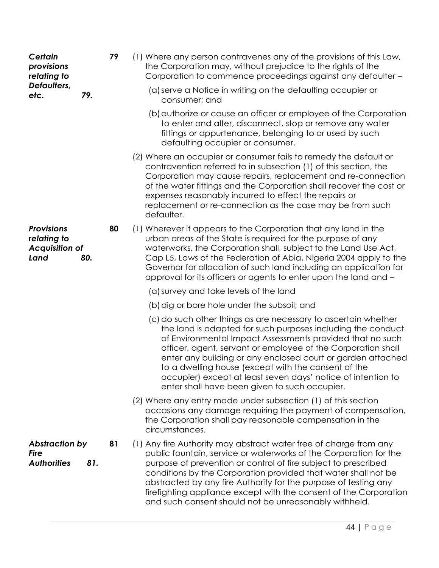| Certain<br>provisions<br>relating to                              | 79        | (1) Where any person contravenes any of the provisions of this Law,<br>the Corporation may, without prejudice to the rights of the<br>Corporation to commence proceedings against any defaulter -                                                                                                                                                                                                                                                                                                 |
|-------------------------------------------------------------------|-----------|---------------------------------------------------------------------------------------------------------------------------------------------------------------------------------------------------------------------------------------------------------------------------------------------------------------------------------------------------------------------------------------------------------------------------------------------------------------------------------------------------|
| Defaulters,<br>etc.                                               | 79.       | (a) serve a Notice in writing on the defaulting occupier or<br>consumer; and                                                                                                                                                                                                                                                                                                                                                                                                                      |
|                                                                   |           | (b) authorize or cause an officer or employee of the Corporation<br>to enter and alter, disconnect, stop or remove any water<br>fittings or appurtenance, belonging to or used by such<br>defaulting occupier or consumer.                                                                                                                                                                                                                                                                        |
|                                                                   |           | (2) Where an occupier or consumer fails to remedy the default or<br>contravention referred to in subsection (1) of this section, the<br>Corporation may cause repairs, replacement and re-connection<br>of the water fittings and the Corporation shall recover the cost or<br>expenses reasonably incurred to effect the repairs or<br>replacement or re-connection as the case may be from such<br>defaulter.                                                                                   |
| <b>Provisions</b><br>relating to<br><b>Acquisition of</b><br>Land | 80<br>80. | (1) Wherever it appears to the Corporation that any land in the<br>urban areas of the State is required for the purpose of any<br>waterworks, the Corporation shall, subject to the Land Use Act,<br>Cap L5, Laws of the Federation of Abia, Nigeria 2004 apply to the<br>Governor for allocation of such land including an application for<br>approval for its officers or agents to enter upon the land and -                                                                                   |
|                                                                   |           | (a) survey and take levels of the land                                                                                                                                                                                                                                                                                                                                                                                                                                                            |
|                                                                   |           | (b) dig or bore hole under the subsoil; and                                                                                                                                                                                                                                                                                                                                                                                                                                                       |
|                                                                   |           | (c) do such other things as are necessary to ascertain whether<br>the land is adapted for such purposes including the conduct<br>of Environmental Impact Assessments provided that no such<br>officer, agent, servant or employee of the Corporation shall<br>enter any building or any enclosed court or garden attached<br>to a dwelling house (except with the consent of the<br>occupier) except at least seven days' notice of intention to<br>enter shall have been given to such occupier. |
|                                                                   |           | (2) Where any entry made under subsection (1) of this section<br>occasions any damage requiring the payment of compensation,<br>the Corporation shall pay reasonable compensation in the<br>circumstances.                                                                                                                                                                                                                                                                                        |
| <b>Abstraction by</b><br><b>Fire</b><br><b>Authorities</b>        | 81<br>81. | (1) Any fire Authority may abstract water free of charge from any<br>public fountain, service or waterworks of the Corporation for the<br>purpose of prevention or control of fire subject to prescribed<br>conditions by the Corporation provided that water shall not be<br>abstracted by any fire Authority for the purpose of testing any<br>firefighting appliance except with the consent of the Corporation<br>and such consent should not be unreasonably withheld.                       |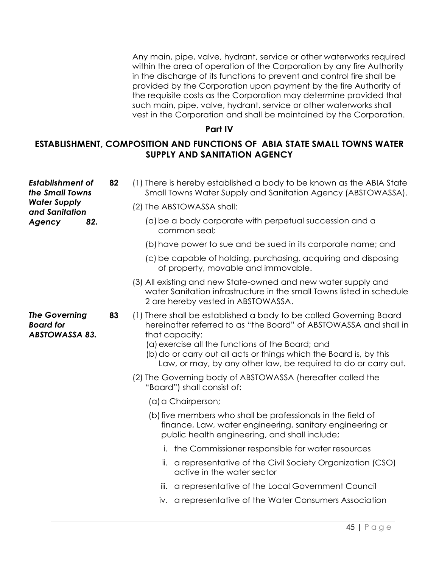Any main, pipe, valve, hydrant, service or other waterworks required within the area of operation of the Corporation by any fire Authority in the discharge of its functions to prevent and control fire shall be provided by the Corporation upon payment by the fire Authority of the requisite costs as the Corporation may determine provided that such main, pipe, valve, hydrant, service or other waterworks shall vest in the Corporation and shall be maintained by the Corporation.

### **Part IV**

# **ESTABLISHMENT, COMPOSITION AND FUNCTIONS OF ABIA STATE SMALL TOWNS WATER SUPPLY AND SANITATION AGENCY**

| <b>Establishment of</b><br>the Small Towns                        | 82 | (1) There is hereby established a body to be known as the ABIA State<br>Small Towns Water Supply and Sanitation Agency (ABSTOWASSA).                                                                                                                                                                                                                  |
|-------------------------------------------------------------------|----|-------------------------------------------------------------------------------------------------------------------------------------------------------------------------------------------------------------------------------------------------------------------------------------------------------------------------------------------------------|
| <b>Water Supply</b><br>and Sanitation                             |    | (2) The ABSTOWASSA shall:                                                                                                                                                                                                                                                                                                                             |
| 82.<br>Agency                                                     |    | (a) be a body corporate with perpetual succession and a<br>common seal;                                                                                                                                                                                                                                                                               |
|                                                                   |    | (b) have power to sue and be sued in its corporate name; and                                                                                                                                                                                                                                                                                          |
|                                                                   |    | (c) be capable of holding, purchasing, acquiring and disposing<br>of property, movable and immovable.                                                                                                                                                                                                                                                 |
|                                                                   |    | (3) All existing and new State-owned and new water supply and<br>water Sanitation infrastructure in the small Towns listed in schedule<br>2 are hereby vested in ABSTOWASSA.                                                                                                                                                                          |
| <b>The Governing</b><br><b>Board for</b><br><b>ABSTOWASSA 83.</b> | 83 | (1) There shall be established a body to be called Governing Board<br>hereinafter referred to as "the Board" of ABSTOWASSA and shall in<br>that capacity:<br>(a) exercise all the functions of the Board; and<br>(b) do or carry out all acts or things which the Board is, by this<br>Law, or may, by any other law, be required to do or carry out. |
|                                                                   |    | (2) The Governing body of ABSTOWASSA (hereafter called the<br>"Board") shall consist of:                                                                                                                                                                                                                                                              |
|                                                                   |    | (a) a Chairperson;                                                                                                                                                                                                                                                                                                                                    |
|                                                                   |    | (b) five members who shall be professionals in the field of<br>finance, Law, water engineering, sanitary engineering or<br>public health engineering, and shall include;                                                                                                                                                                              |
|                                                                   |    | i. the Commissioner responsible for water resources                                                                                                                                                                                                                                                                                                   |
|                                                                   |    | ii. a representative of the Civil Society Organization (CSO)<br>active in the water sector                                                                                                                                                                                                                                                            |
|                                                                   |    | a representative of the Local Government Council<br>iii.                                                                                                                                                                                                                                                                                              |
|                                                                   |    | iv. a representative of the Water Consumers Association                                                                                                                                                                                                                                                                                               |
|                                                                   |    |                                                                                                                                                                                                                                                                                                                                                       |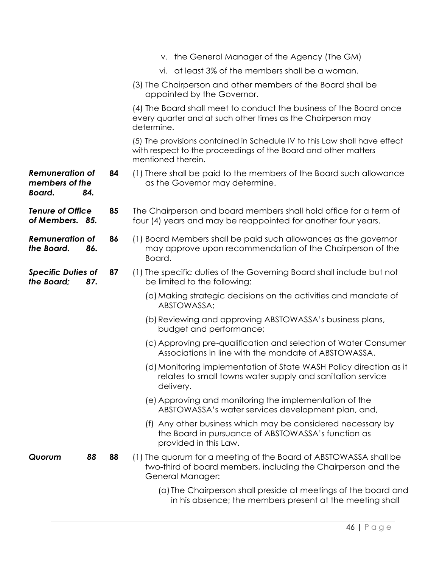|                                                    |           | v. the General Manager of the Agency (The GM)                                                                                                                     |
|----------------------------------------------------|-----------|-------------------------------------------------------------------------------------------------------------------------------------------------------------------|
|                                                    |           | vi. at least 3% of the members shall be a woman.                                                                                                                  |
|                                                    |           | (3) The Chairperson and other members of the Board shall be<br>appointed by the Governor.                                                                         |
|                                                    |           | (4) The Board shall meet to conduct the business of the Board once<br>every quarter and at such other times as the Chairperson may<br>determine.                  |
|                                                    |           | (5) The provisions contained in Schedule IV to this Law shall have effect<br>with respect to the proceedings of the Board and other matters<br>mentioned therein. |
| <b>Remuneration of</b><br>members of the<br>Board. | 84<br>84. | (1) There shall be paid to the members of the Board such allowance<br>as the Governor may determine.                                                              |
| <b>Tenure of Office</b><br>of Members. 85.         | 85        | The Chairperson and board members shall hold office for a term of<br>four (4) years and may be reappointed for another four years.                                |
| <b>Remuneration of</b><br>the Board.               | 86<br>86. | (1) Board Members shall be paid such allowances as the governor<br>may approve upon recommendation of the Chairperson of the<br>Board.                            |
| <b>Specific Duties of</b><br>the Board:            | 87<br>87. | (1) The specific duties of the Governing Board shall include but not<br>be limited to the following:                                                              |
|                                                    |           | (a) Making strategic decisions on the activities and mandate of<br>ABSTOWASSA;                                                                                    |
|                                                    |           | (b) Reviewing and approving ABSTOWASSA's business plans,<br>budget and performance;                                                                               |
|                                                    |           | (c) Approving pre-qualification and selection of Water Consumer<br>Associations in line with the mandate of ABSTOWASSA.                                           |
|                                                    |           | (d) Monitoring implementation of State WASH Policy direction as it<br>relates to small towns water supply and sanitation service<br>delivery.                     |
|                                                    |           | (e) Approving and monitoring the implementation of the<br>ABSTOWASSA's water services development plan, and,                                                      |
|                                                    |           | (f) Any other business which may be considered necessary by<br>the Board in pursuance of ABSTOWASSA's function as<br>provided in this Law.                        |
| Quorum                                             | 88<br>88  | (1) The quorum for a meeting of the Board of ABSTOWASSA shall be<br>two-third of board members, including the Chairperson and the<br>General Manager:             |
|                                                    |           | (a) The Chairperson shall preside at meetings of the board and<br>in his absence; the members present at the meeting shall                                        |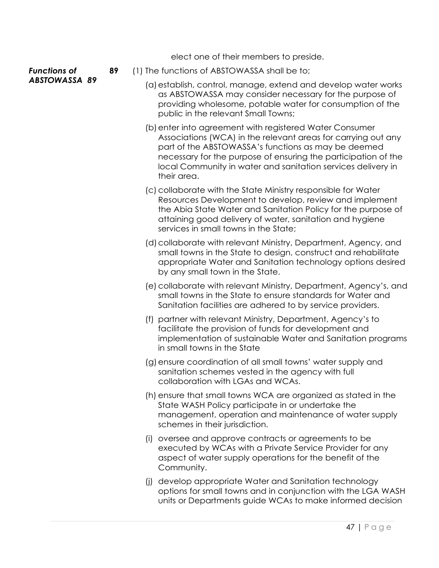elect one of their members to preside.

#### *Functions of ABSTOWASSA 89*

- **89** (1) The functions of ABSTOWASSA shall be to;
	- (a)establish, control, manage, extend and develop water works as ABSTOWASSA may consider necessary for the purpose of providing wholesome, potable water for consumption of the public in the relevant Small Towns;
	- (b)enter into agreement with registered Water Consumer Associations (WCA) in the relevant areas for carrying out any part of the ABSTOWASSA's functions as may be deemed necessary for the purpose of ensuring the participation of the local Community in water and sanitation services delivery in their area.
	- (c) collaborate with the State Ministry responsible for Water Resources Development to develop, review and implement the Abia State Water and Sanitation Policy for the purpose of attaining good delivery of water, sanitation and hygiene services in small towns in the State;
	- (d) collaborate with relevant Ministry, Department, Agency, and small towns in the State to design, construct and rehabilitate appropriate Water and Sanitation technology options desired by any small town in the State.
	- (e)collaborate with relevant Ministry, Department, Agency's, and small towns in the State to ensure standards for Water and Sanitation facilities are adhered to by service providers.
	- (f) partner with relevant Ministry, Department, Agency's to facilitate the provision of funds for development and implementation of sustainable Water and Sanitation programs in small towns in the State
	- (g)ensure coordination of all small towns' water supply and sanitation schemes vested in the agency with full collaboration with LGAs and WCAs.
	- (h) ensure that small towns WCA are organized as stated in the State WASH Policy participate in or undertake the management, operation and maintenance of water supply schemes in their jurisdiction.
	- (i) oversee and approve contracts or agreements to be executed by WCAs with a Private Service Provider for any aspect of water supply operations for the benefit of the Community.
	- (j) develop appropriate Water and Sanitation technology options for small towns and in conjunction with the LGA WASH units or Departments guide WCAs to make informed decision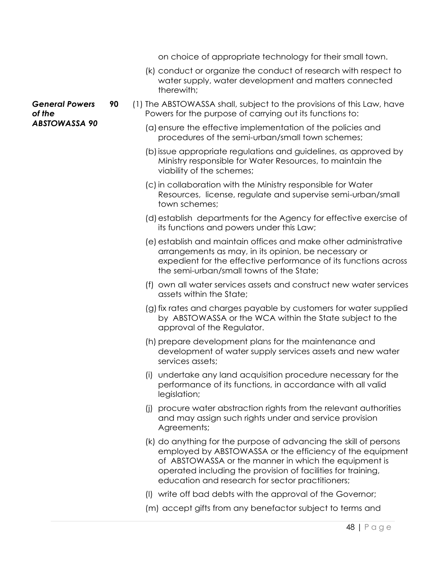on choice of appropriate technology for their small town.

- (k) conduct or organize the conduct of research with respect to water supply, water development and matters connected therewith;
- **90** (1) The ABSTOWASSA shall, subject to the provisions of this Law, have Powers for the purpose of carrying out its functions to:
	- (a)ensure the effective implementation of the policies and procedures of the semi-urban/small town schemes;
	- (b)issue appropriate regulations and guidelines, as approved by Ministry responsible for Water Resources, to maintain the viability of the schemes;
	- (c)in collaboration with the Ministry responsible for Water Resources, license, regulate and supervise semi-urban/small town schemes;
	- (d)establish departments for the Agency for effective exercise of its functions and powers under this Law;
	- (e)establish and maintain offices and make other administrative arrangements as may, in its opinion, be necessary or expedient for the effective performance of its functions across the semi-urban/small towns of the State;
	- (f) own all water services assets and construct new water services assets within the State;
	- (g)fix rates and charges payable by customers for water supplied by ABSTOWASSA or the WCA within the State subject to the approval of the Regulator.
	- (h) prepare development plans for the maintenance and development of water supply services assets and new water services assets;
	- (i) undertake any land acquisition procedure necessary for the performance of its functions, in accordance with all valid legislation;
	- (j) procure water abstraction rights from the relevant authorities and may assign such rights under and service provision Agreements;
	- (k) do anything for the purpose of advancing the skill of persons employed by ABSTOWASSA or the efficiency of the equipment of ABSTOWASSA or the manner in which the equipment is operated including the provision of facilities for training, education and research for sector practitioners;
	- (l) write off bad debts with the approval of the Governor;
	- (m) accept gifts from any benefactor subject to terms and

*General Powers of the ABSTOWASSA 90*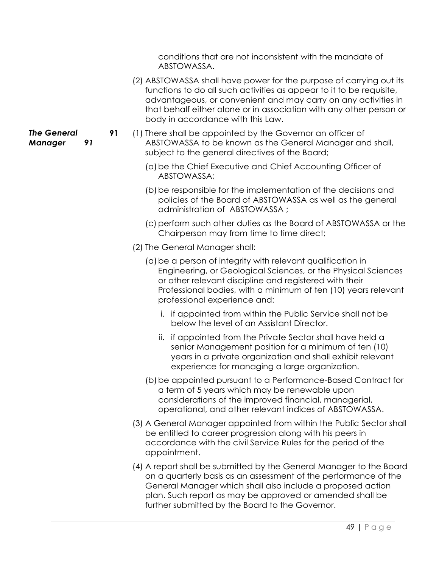conditions that are not inconsistent with the mandate of ABSTOWASSA.

- (2) ABSTOWASSA shall have power for the purpose of carrying out its functions to do all such activities as appear to it to be requisite, advantageous, or convenient and may carry on any activities in that behalf either alone or in association with any other person or body in accordance with this Law.
- **91** (1) There shall be appointed by the Governor an officer of ABSTOWASSA to be known as the General Manager and shall, subject to the general directives of the Board;
	- (a)be the Chief Executive and Chief Accounting Officer of ABSTOWASSA;
	- (b) be responsible for the implementation of the decisions and policies of the Board of ABSTOWASSA as well as the general administration of ABSTOWASSA ;
	- (c) perform such other duties as the Board of ABSTOWASSA or the Chairperson may from time to time direct;
	- (2) The General Manager shall:
		- (a)be a person of integrity with relevant qualification in Engineering, or Geological Sciences, or the Physical Sciences or other relevant discipline and registered with their Professional bodies, with a minimum of ten (10) years relevant professional experience and:
			- i. if appointed from within the Public Service shall not be below the level of an Assistant Director.
			- ii. if appointed from the Private Sector shall have held a senior Management position for a minimum of ten (10) years in a private organization and shall exhibit relevant experience for managing a large organization.
		- (b) be appointed pursuant to a Performance-Based Contract for a term of 5 years which may be renewable upon considerations of the improved financial, managerial, operational, and other relevant indices of ABSTOWASSA.
	- (3) A General Manager appointed from within the Public Sector shall be entitled to career progression along with his peers in accordance with the civil Service Rules for the period of the appointment.
	- (4) A report shall be submitted by the General Manager to the Board on a quarterly basis as an assessment of the performance of the General Manager which shall also include a proposed action plan. Such report as may be approved or amended shall be further submitted by the Board to the Governor.

#### *The General Manager 91*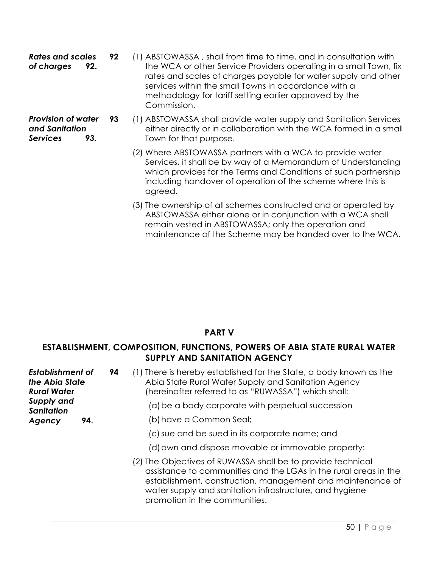*Rates and scales of charges* **92. 92** (1) ABSTOWASSA , shall from time to time, and in consultation with the WCA or other Service Providers operating in a small Town, fix rates and scales of charges payable for water supply and other services within the small Towns in accordance with a methodology for tariff setting earlier approved by the Commission.

*Provision of water and Sanitation Services 93.*

- **93** (1) ABSTOWASSA shall provide water supply and Sanitation Services either directly or in collaboration with the WCA formed in a small Town for that purpose.
	- (2) Where ABSTOWASSA partners with a WCA to provide water Services, it shall be by way of a Memorandum of Understanding which provides for the Terms and Conditions of such partnership including handover of operation of the scheme where this is agreed.
	- (3) The ownership of all schemes constructed and or operated by ABSTOWASSA either alone or in conjunction with a WCA shall remain vested in ABSTOWASSA; only the operation and maintenance of the Scheme may be handed over to the WCA.

# **PART V**

### **ESTABLISHMENT, COMPOSITION, FUNCTIONS, POWERS OF ABIA STATE RURAL WATER SUPPLY AND SANITATION AGENCY**

| <b>Establishment of</b><br>the Abia State<br><b>Rural Water</b><br>Supply and<br><b>Sanitation</b> |     | (1) There is hereby established for the State, a body known as the<br>94<br>Abia State Rural Water Supply and Sanitation Agency<br>(hereinafter referred to as "RUWASSA") which shall:                                                                                                    |
|----------------------------------------------------------------------------------------------------|-----|-------------------------------------------------------------------------------------------------------------------------------------------------------------------------------------------------------------------------------------------------------------------------------------------|
|                                                                                                    |     | (a) be a body corporate with perpetual succession                                                                                                                                                                                                                                         |
| Agency                                                                                             | 94. | (b) have a Common Seal;                                                                                                                                                                                                                                                                   |
|                                                                                                    |     | (c) sue and be sued in its corporate name; and                                                                                                                                                                                                                                            |
|                                                                                                    |     | (d) own and dispose movable or immovable property:                                                                                                                                                                                                                                        |
|                                                                                                    |     | (2) The Objectives of RUWASSA shall be to provide technical<br>assistance to communities and the LGAs in the rural areas in the<br>establishment, construction, management and maintenance of<br>water supply and sanitation infrastructure, and hygiene<br>promotion in the communities. |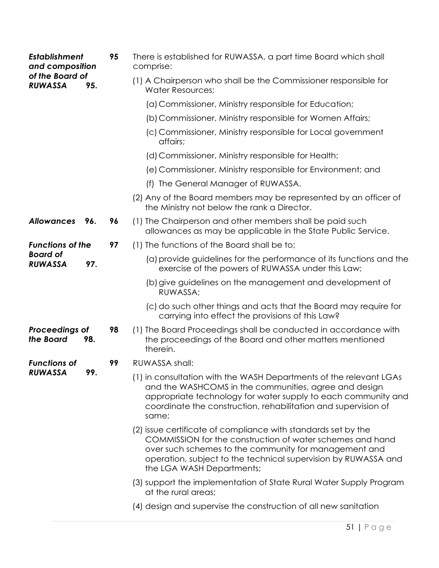| <b>Establishment</b><br>and composition |     | 95 | There is established for RUWASSA, a part time Board which shall<br>comprise:                                                                                                                                                                                                       |
|-----------------------------------------|-----|----|------------------------------------------------------------------------------------------------------------------------------------------------------------------------------------------------------------------------------------------------------------------------------------|
| of the Board of<br><b>RUWASSA</b>       | 95. |    | (1) A Chairperson who shall be the Commissioner responsible for<br><b>Water Resources;</b>                                                                                                                                                                                         |
|                                         |     |    | (a) Commissioner, Ministry responsible for Education;                                                                                                                                                                                                                              |
|                                         |     |    | (b) Commissioner, Ministry responsible for Women Affairs;                                                                                                                                                                                                                          |
|                                         |     |    | (c) Commissioner, Ministry responsible for Local government<br>affairs;                                                                                                                                                                                                            |
|                                         |     |    | (d) Commissioner, Ministry responsible for Health;                                                                                                                                                                                                                                 |
|                                         |     |    | (e) Commissioner, Ministry responsible for Environment; and                                                                                                                                                                                                                        |
|                                         |     |    | (f) The General Manager of RUWASSA.                                                                                                                                                                                                                                                |
|                                         |     |    | (2) Any of the Board members may be represented by an officer of<br>the Ministry not below the rank a Director.                                                                                                                                                                    |
| <b>Allowances</b>                       | 96. | 96 | (1) The Chairperson and other members shall be paid such<br>allowances as may be applicable in the State Public Service.                                                                                                                                                           |
| <b>Functions of the</b>                 |     | 97 | (1) The functions of the Board shall be to;                                                                                                                                                                                                                                        |
| <b>Board of</b><br><b>RUWASSA</b>       | 97. |    | (a) provide guidelines for the performance of its functions and the<br>exercise of the powers of RUWASSA under this Law;                                                                                                                                                           |
|                                         |     |    | (b) give guidelines on the management and development of<br>RUWASSA;                                                                                                                                                                                                               |
|                                         |     |    | (c) do such other things and acts that the Board may require for<br>carrying into effect the provisions of this Law?                                                                                                                                                               |
| Proceedings of<br>the Board             | 98. | 98 | (1) The Board Proceedings shall be conducted in accordance with<br>the proceedings of the Board and other matters mentioned<br>therein.                                                                                                                                            |
| <b>Functions of</b>                     | 99  | 99 | RUWASSA shall:                                                                                                                                                                                                                                                                     |
| <b>RUWASSA</b>                          |     |    | (1) in consultation with the WASH Departments of the relevant LGAs<br>and the WASHCOMS in the communities, agree and design<br>appropriate technology for water supply to each community and<br>coordinate the construction, rehabilitation and supervision of<br>same;            |
|                                         |     |    | (2) issue certificate of compliance with standards set by the<br>COMMISSION for the construction of water schemes and hand<br>over such schemes to the community for management and<br>operation, subject to the technical supervision by RUWASSA and<br>the LGA WASH Departments; |
|                                         |     |    | (3) support the implementation of State Rural Water Supply Program<br>at the rural areas;                                                                                                                                                                                          |
|                                         |     |    | (4) design and supervise the construction of all new sanitation                                                                                                                                                                                                                    |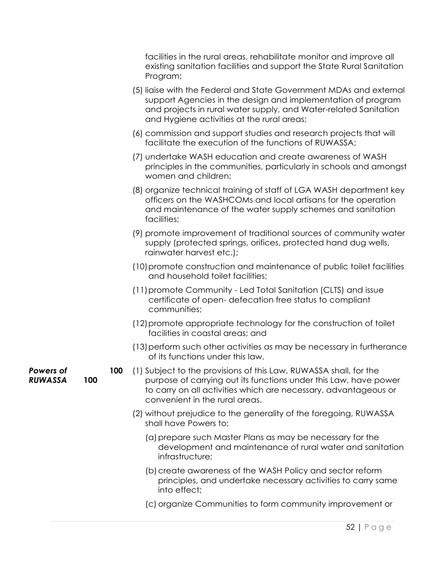facilities in the rural areas, rehabilitate monitor and improve all existing sanitation facilities and support the State Rural Sanitation Program;

- (5) liaise with the Federal and State Government MDAs and external support Agencies in the design and implementation of program and projects in rural water supply, and Water-related Sanitation and Hygiene activities at the rural areas;
- (6) commission and support studies and research projects that will facilitate the execution of the functions of RUWASSA;
- (7) undertake WASH education and create awareness of WASH principles in the communities, particularly in schools and amongst women and children;
- (8) organize technical training of staff of LGA WASH department key officers on the WASHCOMs and local artisans for the operation and maintenance of the water supply schemes and sanitation facilities;
- (9) promote improvement of traditional sources of community water supply (protected springs, orifices, protected hand dug wells, rainwater harvest etc.);
- (10)promote construction and maintenance of public toilet facilities and household toilet facilities;
- (11)promote Community Led Total Sanitation (CLTS) and issue certificate of open- defecation free status to compliant communities;
- (12)promote appropriate technology for the construction of toilet facilities in coastal areas; and
- (13)perform such other activities as may be necessary in furtherance of its functions under this law.
- **100** (1) Subject to the provisions of this Law, RUWASSA shall, for the purpose of carrying out its functions under this Law, have power to carry on all activities which are necessary, advantageous or convenient in the rural areas.
	- (2) without prejudice to the generality of the foregoing, RUWASSA shall have Powers to;
		- (a)prepare such Master Plans as may be necessary for the development and maintenance of rural water and sanitation infrastructure;
		- (b) create awareness of the WASH Policy and sector reform principles, and undertake necessary activities to carry same into effect;
		- (c) organize Communities to form community improvement or

*Powers of RUWASSA* **100**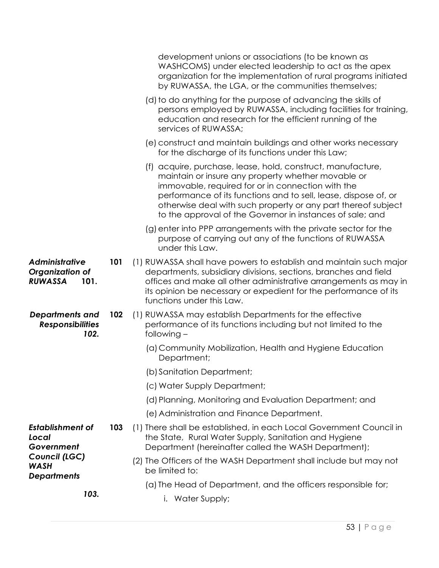|                                                                    |     | development unions or associations (to be known as<br>WASHCOMS) under elected leadership to act as the apex<br>organization for the implementation of rural programs initiated<br>by RUWASSA, the LGA, or the communities themselves;                                                                                                                                   |
|--------------------------------------------------------------------|-----|-------------------------------------------------------------------------------------------------------------------------------------------------------------------------------------------------------------------------------------------------------------------------------------------------------------------------------------------------------------------------|
|                                                                    |     | (d) to do anything for the purpose of advancing the skills of<br>persons employed by RUWASSA, including facilities for training,<br>education and research for the efficient running of the<br>services of RUWASSA;                                                                                                                                                     |
|                                                                    |     | (e) construct and maintain buildings and other works necessary<br>for the discharge of its functions under this Law;                                                                                                                                                                                                                                                    |
|                                                                    |     | (f) acquire, purchase, lease, hold, construct, manufacture,<br>maintain or insure any property whether movable or<br>immovable, required for or in connection with the<br>performance of its functions and to sell, lease, dispose of, or<br>otherwise deal with such property or any part thereof subject<br>to the approval of the Governor in instances of sale; and |
|                                                                    |     | (g) enter into PPP arrangements with the private sector for the<br>purpose of carrying out any of the functions of RUWASSA<br>under this Law.                                                                                                                                                                                                                           |
| <b>Administrative</b><br>Organization of<br><b>RUWASSA</b><br>101. | 101 | (1) RUWASSA shall have powers to establish and maintain such major<br>departments, subsidiary divisions, sections, branches and field<br>offices and make all other administrative arrangements as may in<br>its opinion be necessary or expedient for the performance of its<br>functions under this Law.                                                              |
| <b>Departments and</b><br><b>Responsibilities</b><br>102.          | 102 | (1) RUWASSA may establish Departments for the effective<br>performance of its functions including but not limited to the<br>following -                                                                                                                                                                                                                                 |
|                                                                    |     | (a) Community Mobilization, Health and Hygiene Education<br>Department;                                                                                                                                                                                                                                                                                                 |
|                                                                    |     | (b) Sanitation Department;                                                                                                                                                                                                                                                                                                                                              |
|                                                                    |     | (c) Water Supply Department;                                                                                                                                                                                                                                                                                                                                            |
|                                                                    |     | (d) Planning, Monitoring and Evaluation Department; and                                                                                                                                                                                                                                                                                                                 |
|                                                                    |     | (e) Administration and Finance Department.                                                                                                                                                                                                                                                                                                                              |
| <b>Establishment of</b><br>Local<br>Government                     | 103 | (1) There shall be established, in each Local Government Council in<br>the State, Rural Water Supply, Sanitation and Hygiene<br>Department (hereinafter called the WASH Department);                                                                                                                                                                                    |
| Council (LGC)<br><b>WASH</b><br><b>Departments</b>                 |     | (2) The Officers of the WASH Department shall include but may not<br>be limited to:                                                                                                                                                                                                                                                                                     |
| 103.                                                               |     | (a) The Head of Department, and the officers responsible for;<br>i. Water Supply;                                                                                                                                                                                                                                                                                       |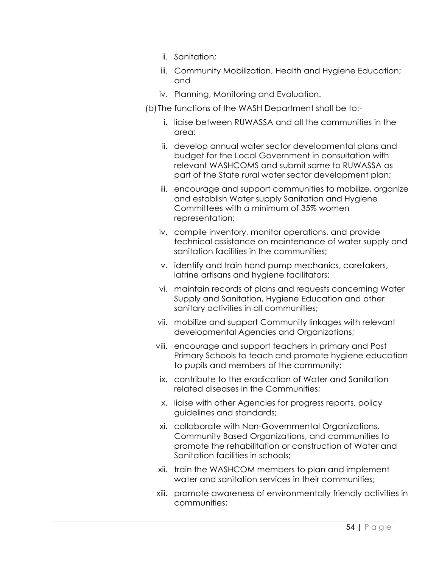- ii. Sanitation;
- iii. Community Mobilization, Health and Hygiene Education; and
- iv. Planning, Monitoring and Evaluation.
- (b) The functions of the WASH Department shall be to:
	- i. liaise between RUWASSA and all the communities in the area;
	- ii. develop annual water sector developmental plans and budget for the Local Government in consultation with relevant WASHCOMS and submit same to RUWASSA as part of the State rural water sector development plan;
	- iii. encourage and support communities to mobilize, organize and establish Water supply Sanitation and Hygiene Committees with a minimum of 35% women representation;
	- iv. compile inventory, monitor operations, and provide technical assistance on maintenance of water supply and sanitation facilities in the communities;
	- v. identify and train hand pump mechanics, caretakers, latrine artisans and hygiene facilitators;
	- vi. maintain records of plans and requests concerning Water Supply and Sanitation, Hygiene Education and other sanitary activities in all communities;
	- vii. mobilize and support Community linkages with relevant developmental Agencies and Organizations;
	- viii. encourage and support teachers in primary and Post Primary Schools to teach and promote hygiene education to pupils and members of the community;
	- ix. contribute to the eradication of Water and Sanitation related diseases in the Communities;
	- x. liaise with other Agencies for progress reports, policy guidelines and standards;
	- xi. collaborate with Non-Governmental Organizations, Community Based Organizations, and communities to promote the rehabilitation or construction of Water and Sanitation facilities in schools;
	- xii. train the WASHCOM members to plan and implement water and sanitation services in their communities;
	- xiii. promote awareness of environmentally friendly activities in communities;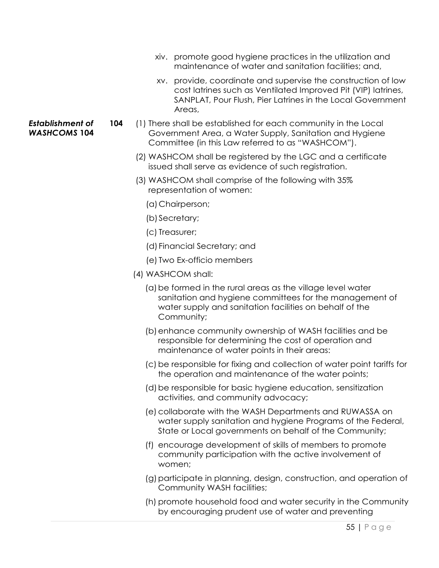- xiv. promote good hygiene practices in the utilization and maintenance of water and sanitation facilities; and,
- xv. provide, coordinate and supervise the construction of low cost latrines such as Ventilated Improved Pit (VIP) latrines, SANPLAT, Pour Flush, Pier Latrines in the Local Government Areas,
- **104** (1) There shall be established for each community in the Local Government Area, a Water Supply, Sanitation and Hygiene Committee (in this Law referred to as "WASHCOM").
	- (2) WASHCOM shall be registered by the LGC and a certificate issued shall serve as evidence of such registration.
	- (3) WASHCOM shall comprise of the following with 35% representation of women:
		- (a)Chairperson;
		- (b) Secretary;
		- (c) Treasurer;
		- (d) Financial Secretary; and
		- (e) Two Ex-officio members
	- (4) WASHCOM shall:
		- (a)be formed in the rural areas as the village level water sanitation and hygiene committees for the management of water supply and sanitation facilities on behalf of the Community;
		- (b)enhance community ownership of WASH facilities and be responsible for determining the cost of operation and maintenance of water points in their areas:
		- (c) be responsible for fixing and collection of water point tariffs for the operation and maintenance of the water points;
		- (d)be responsible for basic hygiene education, sensitization activities, and community advocacy;
		- (e) collaborate with the WASH Departments and RUWASSA on water supply sanitation and hygiene Programs of the Federal, State or Local governments on behalf of the Community;
		- (f) encourage development of skills of members to promote community participation with the active involvement of women;
		- (g) participate in planning, design, construction, and operation of Community WASH facilities;
		- (h) promote household food and water security in the Community by encouraging prudent use of water and preventing

#### *Establishment of WASHCOMS* **104**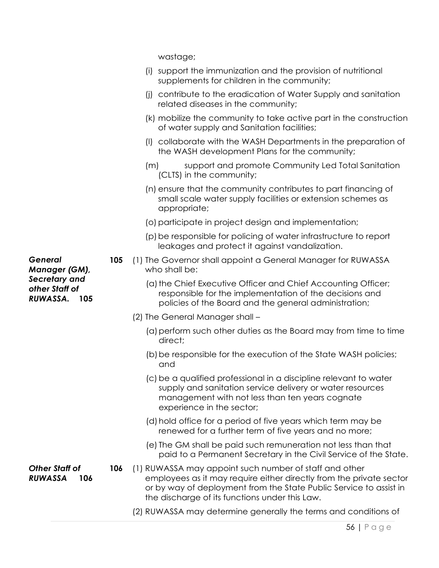wastage;

- (i) support the immunization and the provision of nutritional supplements for children in the community;
- (j) contribute to the eradication of Water Supply and sanitation related diseases in the community;
- (k) mobilize the community to take active part in the construction of water supply and Sanitation facilities;
- (l) collaborate with the WASH Departments in the preparation of the WASH development Plans for the community;
- (m) support and promote Community Led Total Sanitation (CLTS) in the community;
- (n) ensure that the community contributes to part financing of small scale water supply facilities or extension schemes as appropriate;
- (o)participate in project design and implementation;
- (p)be responsible for policing of water infrastructure to report leakages and protect it against vandalization.
- **105** (1) The Governor shall appoint a General Manager for RUWASSA who shall be:
	- (a) the Chief Executive Officer and Chief Accounting Officer; responsible for the implementation of the decisions and policies of the Board and the general administration;
	- (2) The General Manager shall
		- (a)perform such other duties as the Board may from time to time direct;
		- (b) be responsible for the execution of the State WASH policies; and
		- (c) be a qualified professional in a discipline relevant to water supply and sanitation service delivery or water resources management with not less than ten years cognate experience in the sector;
		- (d)hold office for a period of five years which term may be renewed for a further term of five years and no more;
		- (e) The GM shall be paid such remuneration not less than that paid to a Permanent Secretary in the Civil Service of the State.

*Other Staff of RUWASSA* **106 106** (1) RUWASSA may appoint such number of staff and other employees as it may require either directly from the private sector or by way of deployment from the State Public Service to assist in the discharge of its functions under this Law.

(2) RUWASSA may determine generally the terms and conditions of

*General Manager (GM), Secretary and other Staff of RUWASSA.* **105**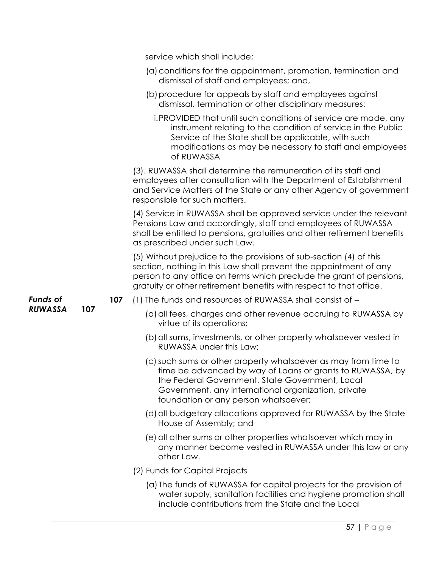|                 |     |     | service which shall include;                                                                                                                                                                                                                                                         |
|-----------------|-----|-----|--------------------------------------------------------------------------------------------------------------------------------------------------------------------------------------------------------------------------------------------------------------------------------------|
|                 |     |     | (a) conditions for the appointment, promotion, termination and<br>dismissal of staff and employees; and,                                                                                                                                                                             |
|                 |     |     | (b) procedure for appeals by staff and employees against<br>dismissal, termination or other disciplinary measures:                                                                                                                                                                   |
|                 |     |     | i. PROVIDED that until such conditions of service are made, any<br>instrument relating to the condition of service in the Public<br>Service of the State shall be applicable, with such<br>modifications as may be necessary to staff and employees<br>of RUWASSA                    |
|                 |     |     | (3). RUWASSA shall determine the remuneration of its staff and<br>employees after consultation with the Department of Establishment<br>and Service Matters of the State or any other Agency of government<br>responsible for such matters.                                           |
|                 |     |     | (4) Service in RUWASSA shall be approved service under the relevant<br>Pensions Law and accordingly, staff and employees of RUWASSA<br>shall be entitled to pensions, gratuities and other retirement benefits<br>as prescribed under such Law.                                      |
|                 |     |     | (5) Without prejudice to the provisions of sub-section (4) of this<br>section, nothing in this Law shall prevent the appointment of any<br>person to any office on terms which preclude the grant of pensions,<br>gratuity or other retirement benefits with respect to that office. |
| <b>Funds of</b> |     | 107 | (1) The funds and resources of RUWASSA shall consist of -                                                                                                                                                                                                                            |
| <b>RUWASSA</b>  | 107 |     | (a) all fees, charges and other revenue accruing to RUWASSA by<br>virtue of its operations;                                                                                                                                                                                          |
|                 |     |     | (b) all sums, investments, or other property whatsoever vested in<br>RUWASSA under this Law:                                                                                                                                                                                         |
|                 |     |     | (c) such sums or other property whatsoever as may from time to<br>time be advanced by way of Loans or grants to RUWASSA, by<br>the Federal Government, State Government, Local<br>Government, any international organization, private<br>foundation or any person whatsoever;        |
|                 |     |     | (d) all budgetary allocations approved for RUWASSA by the State<br>House of Assembly; and                                                                                                                                                                                            |
|                 |     |     | (e) all other sums or other properties whatsoever which may in<br>any manner become vested in RUWASSA under this law or any<br>other Law.                                                                                                                                            |
|                 |     |     | (2) Funds for Capital Projects                                                                                                                                                                                                                                                       |
|                 |     |     | (a) The funds of RUWASSA for capital projects for the provision of<br>water supply, sanitation facilities and hygiene promotion shall<br>include contributions from the State and the Local                                                                                          |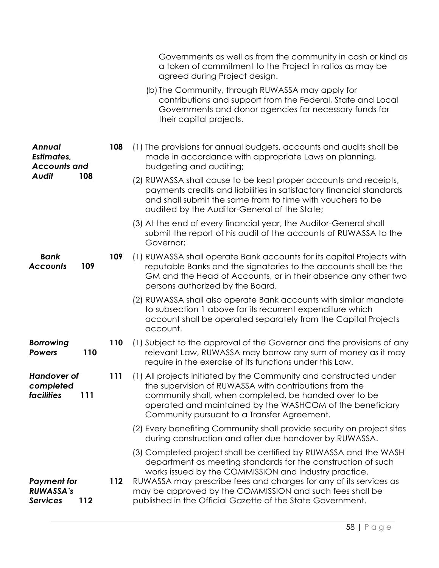|                                                                    |     |     | Governments as well as from the community in cash or kind as<br>a token of commitment to the Project in ratios as may be<br>agreed during Project design.                                                                                                                                        |
|--------------------------------------------------------------------|-----|-----|--------------------------------------------------------------------------------------------------------------------------------------------------------------------------------------------------------------------------------------------------------------------------------------------------|
|                                                                    |     |     | (b) The Community, through RUWASSA may apply for<br>contributions and support from the Federal, State and Local<br>Governments and donor agencies for necessary funds for<br>their capital projects.                                                                                             |
| <b>Annual</b><br><b>Estimates,</b><br><b>Accounts and</b><br>Audit |     | 108 | (1) The provisions for annual budgets, accounts and audits shall be<br>made in accordance with appropriate Laws on planning,<br>budgeting and auditing;                                                                                                                                          |
|                                                                    | 108 |     | (2) RUWASSA shall cause to be kept proper accounts and receipts,<br>payments credits and liabilities in satisfactory financial standards<br>and shall submit the same from to time with vouchers to be<br>audited by the Auditor-General of the State;                                           |
|                                                                    |     |     | (3) At the end of every financial year, the Auditor-General shall<br>submit the report of his audit of the accounts of RUWASSA to the<br>Governor;                                                                                                                                               |
| <b>Bank</b><br><b>Accounts</b>                                     | 109 | 109 | (1) RUWASSA shall operate Bank accounts for its capital Projects with<br>reputable Banks and the signatories to the accounts shall be the<br>GM and the Head of Accounts, or in their absence any other two<br>persons authorized by the Board.                                                  |
|                                                                    |     |     | (2) RUWASSA shall also operate Bank accounts with similar mandate<br>to subsection 1 above for its recurrent expenditure which<br>account shall be operated separately from the Capital Projects<br>account.                                                                                     |
| <b>Borrowing</b><br><b>Powers</b>                                  | 110 | 110 | (1) Subject to the approval of the Governor and the provisions of any<br>relevant Law, RUWASSA may borrow any sum of money as it may<br>require in the exercise of its functions under this Law.                                                                                                 |
| <b>Handover of</b><br>completed<br><b>facilities</b>               | 111 | 111 | (1) All projects initiated by the Community and constructed under<br>the supervision of RUWASSA with contributions from the<br>community shall, when completed, be handed over to be<br>operated and maintained by the WASHCOM of the beneficiary<br>Community pursuant to a Transfer Agreement. |
|                                                                    |     |     | (2) Every benefiting Community shall provide security on project sites<br>during construction and after due handover by RUWASSA.                                                                                                                                                                 |
|                                                                    |     |     | (3) Completed project shall be certified by RUWASSA and the WASH<br>department as meeting standards for the construction of such<br>works issued by the COMMISSION and industry practice.                                                                                                        |
| <b>Payment for</b><br><b>RUWASSA's</b><br><b>Services</b>          | 112 | 112 | RUWASSA may prescribe fees and charges for any of its services as<br>may be approved by the COMMISSION and such fees shall be<br>published in the Official Gazette of the State Government.                                                                                                      |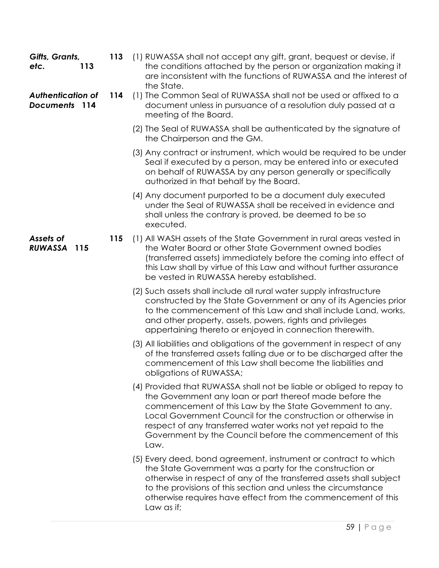| Gifts, Grants,<br>etc.<br>113             | 113 | (1) RUWASSA shall not accept any gift, grant, bequest or devise, if<br>the conditions attached by the person or organization making it<br>are inconsistent with the functions of RUWASSA and the interest of<br>the State.                                                                                                                                                                        |
|-------------------------------------------|-----|---------------------------------------------------------------------------------------------------------------------------------------------------------------------------------------------------------------------------------------------------------------------------------------------------------------------------------------------------------------------------------------------------|
| <b>Authentication of</b><br>Documents 114 | 114 | (1) The Common Seal of RUWASSA shall not be used or affixed to a<br>document unless in pursuance of a resolution duly passed at a<br>meeting of the Board.                                                                                                                                                                                                                                        |
|                                           |     | (2) The Seal of RUWASSA shall be authenticated by the signature of<br>the Chairperson and the GM.                                                                                                                                                                                                                                                                                                 |
|                                           |     | (3) Any contract or instrument, which would be required to be under<br>Seal if executed by a person, may be entered into or executed<br>on behalf of RUWASSA by any person generally or specifically<br>authorized in that behalf by the Board.                                                                                                                                                   |
|                                           |     | (4) Any document purported to be a document duly executed<br>under the Seal of RUWASSA shall be received in evidence and<br>shall unless the contrary is proved, be deemed to be so<br>executed.                                                                                                                                                                                                  |
| Assets of<br><b>RUWASSA</b><br>115        | 115 | (1) All WASH assets of the State Government in rural areas vested in<br>the Water Board or other State Government owned bodies<br>(transferred assets) immediately before the coming into effect of<br>this Law shall by virtue of this Law and without further assurance<br>be vested in RUWASSA hereby established.                                                                             |
|                                           |     | (2) Such assets shall include all rural water supply infrastructure<br>constructed by the State Government or any of its Agencies prior<br>to the commencement of this Law and shall include Land, works,<br>and other property, assets, powers, rights and privileges<br>appertaining thereto or enjoyed in connection therewith.                                                                |
|                                           |     | (3) All liabilities and obligations of the government in respect of any<br>of the transferred assets falling due or to be discharged after the<br>commencement of this Law shall become the liabilities and<br>obligations of RUWASSA;                                                                                                                                                            |
|                                           |     | (4) Provided that RUWASSA shall not be liable or obliged to repay to<br>the Government any loan or part thereof made before the<br>commencement of this Law by the State Government to any.<br>Local Government Council for the construction or otherwise in<br>respect of any transferred water works not yet repaid to the<br>Government by the Council before the commencement of this<br>Law. |
|                                           |     | (5) Every deed, bond agreement, instrument or contract to which<br>the State Government was a party for the construction or<br>otherwise in respect of any of the transferred assets shall subject<br>to the provisions of this section and unless the circumstance<br>otherwise requires have effect from the commencement of this<br>Law as if;                                                 |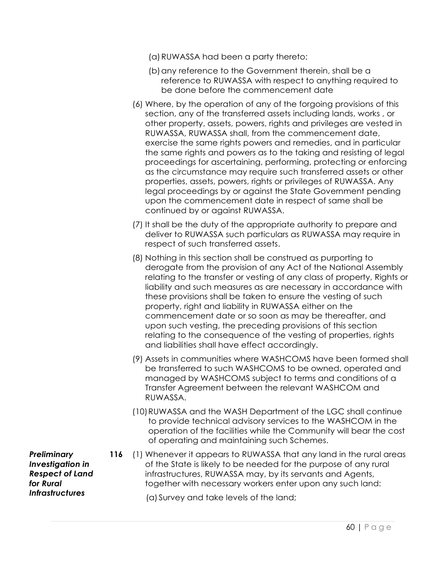- (a)RUWASSA had been a party thereto;
- (b) any reference to the Government therein, shall be a reference to RUWASSA with respect to anything required to be done before the commencement date
- (6) Where, by the operation of any of the forgoing provisions of this section, any of the transferred assets including lands, works , or other property, assets, powers, rights and privileges are vested in RUWASSA, RUWASSA shall, from the commencement date, exercise the same rights powers and remedies, and in particular the same rights and powers as to the taking and resisting of legal proceedings for ascertaining, performing, protecting or enforcing as the circumstance may require such transferred assets or other properties, assets, powers, rights or privileges of RUWASSA. Any legal proceedings by or against the State Government pending upon the commencement date in respect of same shall be continued by or against RUWASSA.
- (7) It shall be the duty of the appropriate authority to prepare and deliver to RUWASSA such particulars as RUWASSA may require in respect of such transferred assets.
- (8) Nothing in this section shall be construed as purporting to derogate from the provision of any Act of the National Assembly relating to the transfer or vesting of any class of property, Rights or liability and such measures as are necessary in accordance with these provisions shall be taken to ensure the vesting of such property, right and liability in RUWASSA either on the commencement date or so soon as may be thereafter, and upon such vesting, the preceding provisions of this section relating to the consequence of the vesting of properties, rights and liabilities shall have effect accordingly.
- (9) Assets in communities where WASHCOMS have been formed shall be transferred to such WASHCOMS to be owned, operated and managed by WASHCOMS subject to terms and conditions of a Transfer Agreement between the relevant WASHCOM and RUWASSA.
- (10)RUWASSA and the WASH Department of the LGC shall continue to provide technical advisory services to the WASHCOM in the operation of the facilities while the Community will bear the cost of operating and maintaining such Schemes.
- **116** (1) Whenever it appears to RUWASSA that any land in the rural areas of the State is likely to be needed for the purpose of any rural infrastructures, RUWASSA may, by its servants and Agents, together with necessary workers enter upon any such land:

(a) Survey and take levels of the land;

*Preliminary Investigation in Respect of Land for Rural Infrastructures*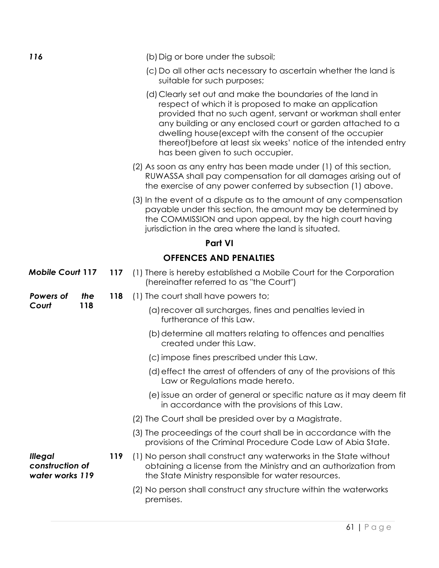| 116                                                  |     |     | (b) Dig or bore under the subsoil;                                                                                                                                                                                                                                                                                                                                                                                   |
|------------------------------------------------------|-----|-----|----------------------------------------------------------------------------------------------------------------------------------------------------------------------------------------------------------------------------------------------------------------------------------------------------------------------------------------------------------------------------------------------------------------------|
|                                                      |     |     | (c) Do all other acts necessary to ascertain whether the land is<br>suitable for such purposes;                                                                                                                                                                                                                                                                                                                      |
|                                                      |     |     | (d) Clearly set out and make the boundaries of the land in<br>respect of which it is proposed to make an application<br>provided that no such agent, servant or workman shall enter<br>any building or any enclosed court or garden attached to a<br>dwelling house (except with the consent of the occupier<br>thereof) before at least six weeks' notice of the intended entry<br>has been given to such occupier. |
|                                                      |     |     | (2) As soon as any entry has been made under (1) of this section,<br>RUWASSA shall pay compensation for all damages arising out of<br>the exercise of any power conferred by subsection (1) above.                                                                                                                                                                                                                   |
|                                                      |     |     | (3) In the event of a dispute as to the amount of any compensation<br>payable under this section, the amount may be determined by<br>the COMMISSION and upon appeal, by the high court having<br>jurisdiction in the area where the land is situated.                                                                                                                                                                |
|                                                      |     |     | <b>Part VI</b>                                                                                                                                                                                                                                                                                                                                                                                                       |
|                                                      |     |     | <b>OFFENCES AND PENALTIES</b>                                                                                                                                                                                                                                                                                                                                                                                        |
| <b>Mobile Court 117</b>                              |     | 117 | (1) There is hereby established a Mobile Court for the Corporation<br>(hereinafter referred to as "the Court")                                                                                                                                                                                                                                                                                                       |
| Powers of                                            | the | 118 | (1) The court shall have powers to;                                                                                                                                                                                                                                                                                                                                                                                  |
| Court                                                | 118 |     | (a) recover all surcharges, fines and penalties levied in<br>furtherance of this Law.                                                                                                                                                                                                                                                                                                                                |
|                                                      |     |     | (b) determine all matters relating to offences and penalties<br>created under this Law.                                                                                                                                                                                                                                                                                                                              |
|                                                      |     |     | (c) impose fines prescribed under this Law.                                                                                                                                                                                                                                                                                                                                                                          |
|                                                      |     |     | (d) effect the arrest of offenders of any of the provisions of this<br>Law or Regulations made hereto.                                                                                                                                                                                                                                                                                                               |
|                                                      |     |     | (e) issue an order of general or specific nature as it may deem fit<br>in accordance with the provisions of this Law.                                                                                                                                                                                                                                                                                                |
|                                                      |     |     | (2) The Court shall be presided over by a Magistrate.                                                                                                                                                                                                                                                                                                                                                                |
|                                                      |     |     | (3) The proceedings of the court shall be in accordance with the<br>provisions of the Criminal Procedure Code Law of Abia State.                                                                                                                                                                                                                                                                                     |
| <b>Illegal</b><br>construction of<br>water works 119 |     | 119 | (1) No person shall construct any waterworks in the State without<br>obtaining a license from the Ministry and an authorization from<br>the State Ministry responsible for water resources.                                                                                                                                                                                                                          |
|                                                      |     |     | (2) No person shall construct any structure within the waterworks<br>premises.                                                                                                                                                                                                                                                                                                                                       |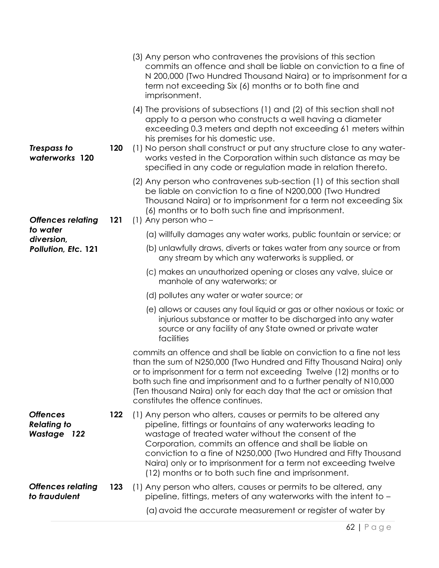|                                                             |     | (3) Any person who contravenes the provisions of this section<br>commits an offence and shall be liable on conviction to a fine of<br>N 200,000 (Two Hundred Thousand Naira) or to imprisonment for a<br>term not exceeding Six (6) months or to both fine and<br>imprisonment.                                                                                                                                                             |
|-------------------------------------------------------------|-----|---------------------------------------------------------------------------------------------------------------------------------------------------------------------------------------------------------------------------------------------------------------------------------------------------------------------------------------------------------------------------------------------------------------------------------------------|
|                                                             |     | (4) The provisions of subsections (1) and (2) of this section shall not<br>apply to a person who constructs a well having a diameter<br>exceeding 0.3 meters and depth not exceeding 61 meters within<br>his premises for his domestic use.                                                                                                                                                                                                 |
| Trespass to<br>waterworks 120                               | 120 | (1) No person shall construct or put any structure close to any water-<br>works vested in the Corporation within such distance as may be<br>specified in any code or regulation made in relation thereto.                                                                                                                                                                                                                                   |
| <b>Offences relating</b>                                    | 121 | (2) Any person who contravenes sub-section (1) of this section shall<br>be liable on conviction to a fine of N200,000 (Two Hundred<br>Thousand Naira) or to imprisonment for a term not exceeding Six<br>(6) months or to both such fine and imprisonment.<br>$(1)$ Any person who –                                                                                                                                                        |
| to water                                                    |     | (a) willfully damages any water works, public fountain or service; or                                                                                                                                                                                                                                                                                                                                                                       |
| diversion,<br>Pollution, Etc. 121                           |     | (b) unlawfully draws, diverts or takes water from any source or from<br>any stream by which any waterworks is supplied, or                                                                                                                                                                                                                                                                                                                  |
|                                                             |     | (c) makes an unauthorized opening or closes any valve, sluice or<br>manhole of any waterworks; or                                                                                                                                                                                                                                                                                                                                           |
|                                                             |     | (d) pollutes any water or water source; or                                                                                                                                                                                                                                                                                                                                                                                                  |
|                                                             |     | (e) allows or causes any foul liquid or gas or other noxious or toxic or<br>injurious substance or matter to be discharged into any water<br>source or any facility of any State owned or private water<br>facilities                                                                                                                                                                                                                       |
|                                                             |     | commits an offence and shall be liable on conviction to a fine not less<br>than the sum of N250,000 (Two Hundred and Fifty Thousand Naira) only<br>or to imprisonment for a term not exceeding Twelve (12) months or to<br>both such fine and imprisonment and to a further penalty of N10,000<br>(Ten thousand Naira) only for each day that the act or omission that<br>constitutes the offence continues.                                |
| <b>Offences</b><br><b>Relating to</b><br><b>Wastage 122</b> | 122 | (1) Any person who alters, causes or permits to be altered any<br>pipeline, fittings or fountains of any waterworks leading to<br>wastage of treated water without the consent of the<br>Corporation, commits an offence and shall be liable on<br>conviction to a fine of N250,000 (Two Hundred and Fifty Thousand<br>Naira) only or to imprisonment for a term not exceeding twelve<br>(12) months or to both such fine and imprisonment. |
| <b>Offences relating</b><br>to fraudulent                   | 123 | (1) Any person who alters, causes or permits to be altered, any<br>pipeline, fittings, meters of any waterworks with the intent to -                                                                                                                                                                                                                                                                                                        |
|                                                             |     | (a) avoid the accurate measurement or register of water by                                                                                                                                                                                                                                                                                                                                                                                  |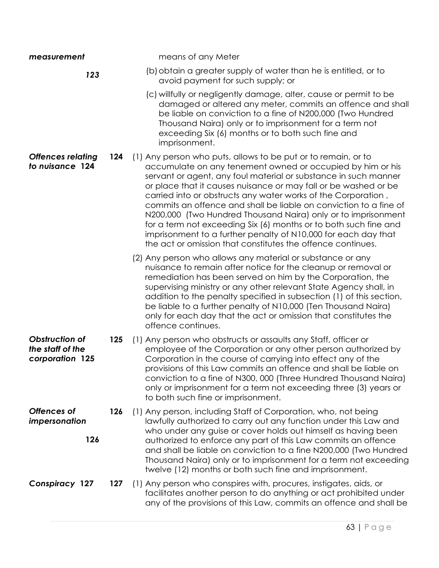| measurement                                           |     | means of any Meter                                                                                                                                                                                                                                                                                                                                                                                                                                                                                                                                                                                                                                                            |
|-------------------------------------------------------|-----|-------------------------------------------------------------------------------------------------------------------------------------------------------------------------------------------------------------------------------------------------------------------------------------------------------------------------------------------------------------------------------------------------------------------------------------------------------------------------------------------------------------------------------------------------------------------------------------------------------------------------------------------------------------------------------|
| 123                                                   |     | (b) obtain a greater supply of water than he is entitled, or to<br>avoid payment for such supply; or                                                                                                                                                                                                                                                                                                                                                                                                                                                                                                                                                                          |
|                                                       |     | (c) willfully or negligently damage, alter, cause or permit to be<br>damaged or altered any meter, commits an offence and shall<br>be liable on conviction to a fine of N200,000 (Two Hundred<br>Thousand Naira) only or to imprisonment for a term not<br>exceeding Six (6) months or to both such fine and<br>imprisonment.                                                                                                                                                                                                                                                                                                                                                 |
| <b>Offences relating</b><br>to nuisance 124           | 124 | (1) Any person who puts, allows to be put or to remain, or to<br>accumulate on any tenement owned or occupied by him or his<br>servant or agent, any foul material or substance in such manner<br>or place that it causes nuisance or may fall or be washed or be<br>carried into or obstructs any water works of the Corporation,<br>commits an offence and shall be liable on conviction to a fine of<br>N200,000 (Two Hundred Thousand Naira) only or to imprisonment<br>for a term not exceeding Six (6) months or to both such fine and<br>imprisonment to a further penalty of N10,000 for each day that<br>the act or omission that constitutes the offence continues. |
|                                                       |     | (2) Any person who allows any material or substance or any<br>nuisance to remain after notice for the cleanup or removal or<br>remediation has been served on him by the Corporation, the<br>supervising ministry or any other relevant State Agency shall, in<br>addition to the penalty specified in subsection (1) of this section,<br>be liable to a further penalty of N10,000 (Ten Thousand Naira)<br>only for each day that the act or omission that constitutes the<br>offence continues.                                                                                                                                                                             |
| Obstruction of<br>the staff of the<br>corporation 125 | 125 | (1) Any person who obstructs or assaults any Staff, officer or<br>employee of the Corporation or any other person authorized by<br>Corporation in the course of carrying into effect any of the<br>provisions of this Law commits an offence and shall be liable on<br>conviction to a fine of N300, 000 (Three Hundred Thousand Naira)<br>only or imprisonment for a term not exceeding three (3) years or<br>to both such fine or imprisonment.                                                                                                                                                                                                                             |
| <b>Offences of</b><br>impersonation<br>126            | 126 | (1) Any person, including Staff of Corporation, who, not being<br>lawfully authorized to carry out any function under this Law and<br>who under any guise or cover holds out himself as having been<br>authorized to enforce any part of this Law commits an offence<br>and shall be liable on conviction to a fine N200,000 (Two Hundred<br>Thousand Naira) only or to imprisonment for a term not exceeding<br>twelve (12) months or both such fine and imprisonment.                                                                                                                                                                                                       |
| <b>Conspiracy 127</b>                                 | 127 | (1) Any person who conspires with, procures, instigates, aids, or<br>facilitates another person to do anything or act prohibited under<br>any of the provisions of this Law, commits an offence and shall be                                                                                                                                                                                                                                                                                                                                                                                                                                                                  |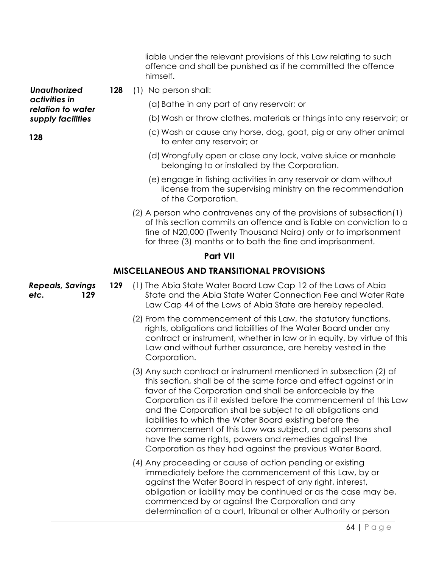liable under the relevant provisions of this Law relating to such offence and shall be punished as if he committed the offence himself.

**128** (1) No person shall:

(a)Bathe in any part of any reservoir; or

- (b)Wash or throw clothes, materials or things into any reservoir; or
- (c) Wash or cause any horse, dog, goat, pig or any other animal to enter any reservoir; or
- (d)Wrongfully open or close any lock, valve sluice or manhole belonging to or installed by the Corporation.
- (e)engage in fishing activities in any reservoir or dam without license from the supervising ministry on the recommendation of the Corporation.
- (2) A person who contravenes any of the provisions of subsection(1) of this section commits an offence and is liable on conviction to a fine of N20,000 (Twenty Thousand Naira) only or to imprisonment for three (3) months or to both the fine and imprisonment.

#### **Part VII**

### **MISCELLANEOUS AND TRANSITIONAL PROVISIONS**

**129** (1) The Abia State Water Board Law Cap 12 of the Laws of Abia State and the Abia State Water Connection Fee and Water Rate Law Cap 44 of the Laws of Abia State are hereby repealed.

- (2) From the commencement of this Law, the statutory functions, rights, obligations and liabilities of the Water Board under any contract or instrument, whether in law or in equity, by virtue of this Law and without further assurance, are hereby vested in the Corporation.
- (3) Any such contract or instrument mentioned in subsection (2) of this section, shall be of the same force and effect against or in favor of the Corporation and shall be enforceable by the Corporation as if it existed before the commencement of this Law and the Corporation shall be subject to all obligations and liabilities to which the Water Board existing before the commencement of this Law was subject, and all persons shall have the same rights, powers and remedies against the Corporation as they had against the previous Water Board.
- (4) Any proceeding or cause of action pending or existing immediately before the commencement of this Law, by or against the Water Board in respect of any right, interest, obligation or liability may be continued or as the case may be, commenced by or against the Corporation and any determination of a court, tribunal or other Authority or person

*Unauthorized activities in relation to water supply facilities*

*Repeals, Savings etc.* **129**

**128**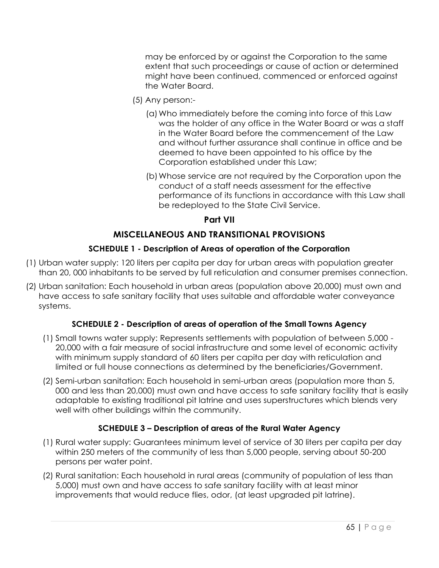may be enforced by or against the Corporation to the same extent that such proceedings or cause of action or determined might have been continued, commenced or enforced against the Water Board.

- (5) Any person:-
	- (a)Who immediately before the coming into force of this Law was the holder of any office in the Water Board or was a staff in the Water Board before the commencement of the Law and without further assurance shall continue in office and be deemed to have been appointed to his office by the Corporation established under this Law;
	- (b)Whose service are not required by the Corporation upon the conduct of a staff needs assessment for the effective performance of its functions in accordance with this Law shall be redeployed to the State Civil Service.

### **Part VII**

# **MISCELLANEOUS AND TRANSITIONAL PROVISIONS**

### **SCHEDULE 1 - Description of Areas of operation of the Corporation**

- (1) Urban water supply: 120 liters per capita per day for urban areas with population greater than 20, 000 inhabitants to be served by full reticulation and consumer premises connection.
- (2) Urban sanitation: Each household in urban areas (population above 20,000) must own and have access to safe sanitary facility that uses suitable and affordable water conveyance systems.

### **SCHEDULE 2 - Description of areas of operation of the Small Towns Agency**

- (1) Small towns water supply: Represents settlements with population of between 5,000 20,000 with a fair measure of social infrastructure and some level of economic activity with minimum supply standard of 60 liters per capita per day with reticulation and limited or full house connections as determined by the beneficiaries/Government.
- (2) Semi-urban sanitation: Each household in semi-urban areas (population more than 5, 000 and less than 20,000) must own and have access to safe sanitary facility that is easily adaptable to existing traditional pit latrine and uses superstructures which blends very well with other buildings within the community.

# **SCHEDULE 3 – Description of areas of the Rural Water Agency**

- (1) Rural water supply: Guarantees minimum level of service of 30 liters per capita per day within 250 meters of the community of less than 5,000 people, serving about 50-200 persons per water point.
- (2) Rural sanitation: Each household in rural areas (community of population of less than 5,000) must own and have access to safe sanitary facility with at least minor improvements that would reduce flies, odor, (at least upgraded pit latrine).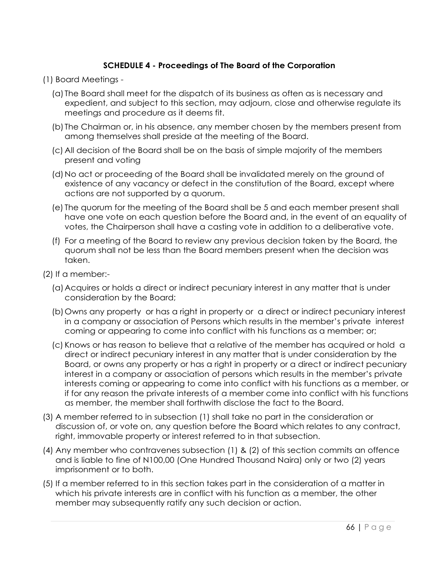## **SCHEDULE 4 - Proceedings of The Board of the Corporation**

- (1) Board Meetings
	- (a) The Board shall meet for the dispatch of its business as often as is necessary and expedient, and subject to this section, may adjourn, close and otherwise regulate its meetings and procedure as it deems fit.
	- (b) The Chairman or, in his absence, any member chosen by the members present from among themselves shall preside at the meeting of the Board.
	- (c) All decision of the Board shall be on the basis of simple majority of the members present and voting
	- (d)No act or proceeding of the Board shall be invalidated merely on the ground of existence of any vacancy or defect in the constitution of the Board, except where actions are not supported by a quorum.
	- (e) The quorum for the meeting of the Board shall be 5 and each member present shall have one vote on each question before the Board and, in the event of an equality of votes, the Chairperson shall have a casting vote in addition to a deliberative vote.
	- (f) For a meeting of the Board to review any previous decision taken by the Board, the quorum shall not be less than the Board members present when the decision was taken.
- (2) If a member:-
	- (a)Acquires or holds a direct or indirect pecuniary interest in any matter that is under consideration by the Board;
	- (b)Owns any property or has a right in property or a direct or indirect pecuniary interest in a company or association of Persons which results in the member's private interest coming or appearing to come into conflict with his functions as a member; or;
	- (c) Knows or has reason to believe that a relative of the member has acquired or hold a direct or indirect pecuniary interest in any matter that is under consideration by the Board, or owns any property or has a right in property or a direct or indirect pecuniary interest in a company or association of persons which results in the member's private interests coming or appearing to come into conflict with his functions as a member, or if for any reason the private interests of a member come into conflict with his functions as member, the member shall forthwith disclose the fact to the Board.
- (3) A member referred to in subsection (1) shall take no part in the consideration or discussion of, or vote on, any question before the Board which relates to any contract, right, immovable property or interest referred to in that subsection.
- (4) Any member who contravenes subsection (1) & (2) of this section commits an offence and is liable to fine of N100,00 (One Hundred Thousand Naira) only or two (2) years imprisonment or to both.
- (5) If a member referred to in this section takes part in the consideration of a matter in which his private interests are in conflict with his function as a member, the other member may subsequently ratify any such decision or action.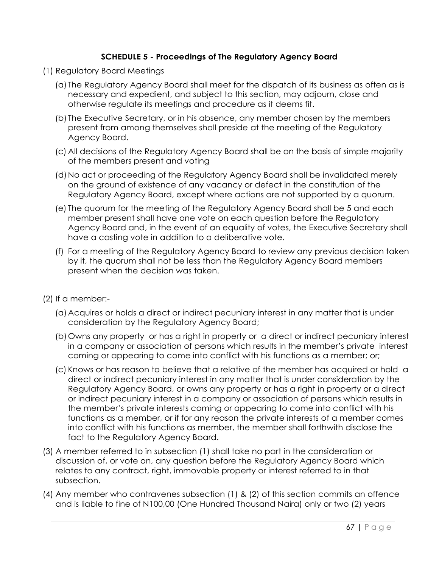### **SCHEDULE 5 - Proceedings of The Regulatory Agency Board**

- (1) Regulatory Board Meetings
	- (a) The Regulatory Agency Board shall meet for the dispatch of its business as often as is necessary and expedient, and subject to this section, may adjourn, close and otherwise regulate its meetings and procedure as it deems fit.
	- (b) The Executive Secretary, or in his absence, any member chosen by the members present from among themselves shall preside at the meeting of the Regulatory Agency Board.
	- (c) All decisions of the Regulatory Agency Board shall be on the basis of simple majority of the members present and voting
	- (d)No act or proceeding of the Regulatory Agency Board shall be invalidated merely on the ground of existence of any vacancy or defect in the constitution of the Regulatory Agency Board, except where actions are not supported by a quorum.
	- (e) The quorum for the meeting of the Regulatory Agency Board shall be 5 and each member present shall have one vote on each question before the Regulatory Agency Board and, in the event of an equality of votes, the Executive Secretary shall have a casting vote in addition to a deliberative vote.
	- (f) For a meeting of the Regulatory Agency Board to review any previous decision taken by it, the quorum shall not be less than the Regulatory Agency Board members present when the decision was taken.
- (2) If a member:-
	- (a)Acquires or holds a direct or indirect pecuniary interest in any matter that is under consideration by the Regulatory Agency Board;
	- (b)Owns any property or has a right in property or a direct or indirect pecuniary interest in a company or association of persons which results in the member's private interest coming or appearing to come into conflict with his functions as a member; or;
	- (c) Knows or has reason to believe that a relative of the member has acquired or hold a direct or indirect pecuniary interest in any matter that is under consideration by the Regulatory Agency Board, or owns any property or has a right in property or a direct or indirect pecuniary interest in a company or association of persons which results in the member's private interests coming or appearing to come into conflict with his functions as a member, or if for any reason the private interests of a member comes into conflict with his functions as member, the member shall forthwith disclose the fact to the Regulatory Agency Board.
- (3) A member referred to in subsection (1) shall take no part in the consideration or discussion of, or vote on, any question before the Regulatory Agency Board which relates to any contract, right, immovable property or interest referred to in that subsection.
- (4) Any member who contravenes subsection (1) & (2) of this section commits an offence and is liable to fine of N100,00 (One Hundred Thousand Naira) only or two (2) years